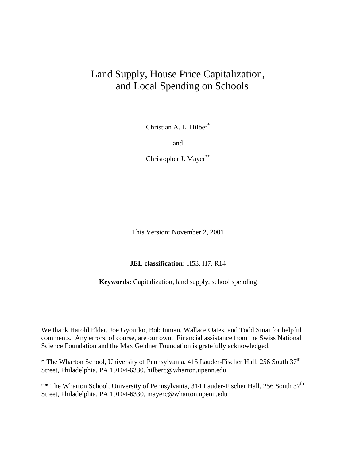# Land Supply, House Price Capitalization, and Local Spending on Schools

Christian A. L. Hilber\*

and

Christopher J. Mayer\*\*

This Version: November 2, 2001

#### **JEL classification:** H53, H7, R14

**Keywords:** Capitalization, land supply, school spending

We thank Harold Elder, Joe Gyourko, Bob Inman, Wallace Oates, and Todd Sinai for helpful comments. Any errors, of course, are our own. Financial assistance from the Swiss National Science Foundation and the Max Geldner Foundation is gratefully acknowledged.

\* The Wharton School, University of Pennsylvania, 415 Lauder-Fischer Hall, 256 South 37th Street, Philadelphia, PA 19104-6330, hilberc@wharton.upenn.edu

\*\* The Wharton School, University of Pennsylvania, 314 Lauder-Fischer Hall, 256 South 37<sup>th</sup> Street, Philadelphia, PA 19104-6330, mayerc@wharton.upenn.edu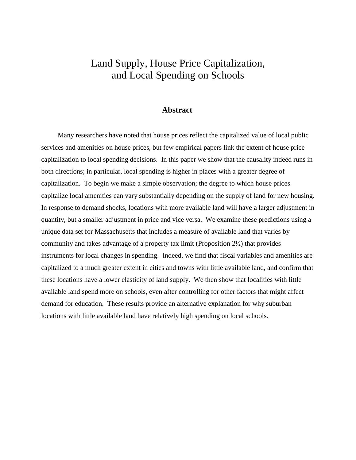# Land Supply, House Price Capitalization, and Local Spending on Schools

### **Abstract**

 Many researchers have noted that house prices reflect the capitalized value of local public services and amenities on house prices, but few empirical papers link the extent of house price capitalization to local spending decisions. In this paper we show that the causality indeed runs in both directions; in particular, local spending is higher in places with a greater degree of capitalization. To begin we make a simple observation; the degree to which house prices capitalize local amenities can vary substantially depending on the supply of land for new housing. In response to demand shocks, locations with more available land will have a larger adjustment in quantity, but a smaller adjustment in price and vice versa. We examine these predictions using a unique data set for Massachusetts that includes a measure of available land that varies by community and takes advantage of a property tax limit (Proposition 2½) that provides instruments for local changes in spending. Indeed, we find that fiscal variables and amenities are capitalized to a much greater extent in cities and towns with little available land, and confirm that these locations have a lower elasticity of land supply. We then show that localities with little available land spend more on schools, even after controlling for other factors that might affect demand for education. These results provide an alternative explanation for why suburban locations with little available land have relatively high spending on local schools.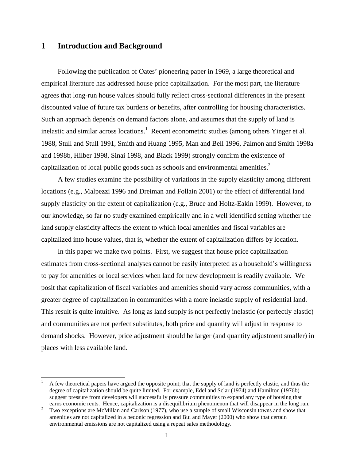### **1 Introduction and Background**

 $\overline{a}$ 

 Following the publication of Oates' pioneering paper in 1969, a large theoretical and empirical literature has addressed house price capitalization. For the most part, the literature agrees that long-run house values should fully reflect cross-sectional differences in the present discounted value of future tax burdens or benefits, after controlling for housing characteristics. Such an approach depends on demand factors alone, and assumes that the supply of land is inelastic and similar across locations.<sup>1</sup> Recent econometric studies (among others Yinger et al. 1988, Stull and Stull 1991, Smith and Huang 1995, Man and Bell 1996, Palmon and Smith 1998a and 1998b, Hilber 1998, Sinai 1998, and Black 1999) strongly confirm the existence of capitalization of local public goods such as schools and environmental amenities. $2$ 

 A few studies examine the possibility of variations in the supply elasticity among different locations (e.g., Malpezzi 1996 and Dreiman and Follain 2001) or the effect of differential land supply elasticity on the extent of capitalization (e.g., Bruce and Holtz-Eakin 1999). However, to our knowledge, so far no study examined empirically and in a well identified setting whether the land supply elasticity affects the extent to which local amenities and fiscal variables are capitalized into house values, that is, whether the extent of capitalization differs by location.

 In this paper we make two points. First, we suggest that house price capitalization estimates from cross-sectional analyses cannot be easily interpreted as a household's willingness to pay for amenities or local services when land for new development is readily available. We posit that capitalization of fiscal variables and amenities should vary across communities, with a greater degree of capitalization in communities with a more inelastic supply of residential land. This result is quite intuitive. As long as land supply is not perfectly inelastic (or perfectly elastic) and communities are not perfect substitutes, both price and quantity will adjust in response to demand shocks. However, price adjustment should be larger (and quantity adjustment smaller) in places with less available land.

<sup>1</sup> A few theoretical papers have argued the opposite point; that the supply of land is perfectly elastic, and thus the degree of capitalization should be quite limited. For example, Edel and Sclar (1974) and Hamilton (1976b) suggest pressure from developers will successfully pressure communities to expand any type of housing that

earns economic rents. Hence, capitalization is a disequilibrium phenomenon that will disappear in the long run.<br><sup>2</sup> True expections are MaMillar and Garlesn (1977) who we a sexual of small Wissonia terms and show that Two exceptions are McMillan and Carlson (1977), who use a sample of small Wisconsin towns and show that amenities are not capitalized in a hedonic regression and Bui and Mayer (2000) who show that certain environmental emissions are not capitalized using a repeat sales methodology.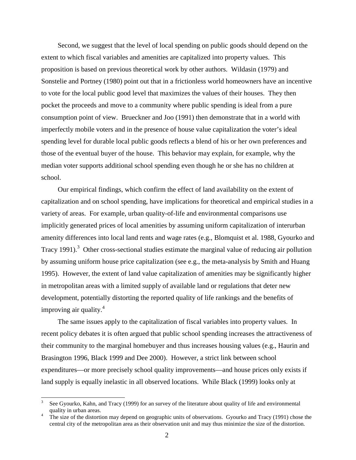Second, we suggest that the level of local spending on public goods should depend on the extent to which fiscal variables and amenities are capitalized into property values. This proposition is based on previous theoretical work by other authors. Wildasin (1979) and Sonstelie and Portney (1980) point out that in a frictionless world homeowners have an incentive to vote for the local public good level that maximizes the values of their houses. They then pocket the proceeds and move to a community where public spending is ideal from a pure consumption point of view. Brueckner and Joo (1991) then demonstrate that in a world with imperfectly mobile voters and in the presence of house value capitalization the voter's ideal spending level for durable local public goods reflects a blend of his or her own preferences and those of the eventual buyer of the house. This behavior may explain, for example, why the median voter supports additional school spending even though he or she has no children at school.

 Our empirical findings, which confirm the effect of land availability on the extent of capitalization and on school spending, have implications for theoretical and empirical studies in a variety of areas. For example, urban quality-of-life and environmental comparisons use implicitly generated prices of local amenities by assuming uniform capitalization of interurban amenity differences into local land rents and wage rates (e.g., Blomquist et al. 1988, Gyourko and Tracy 1991).<sup>3</sup> Other cross-sectional studies estimate the marginal value of reducing air pollution by assuming uniform house price capitalization (see e.g., the meta-analysis by Smith and Huang 1995). However, the extent of land value capitalization of amenities may be significantly higher in metropolitan areas with a limited supply of available land or regulations that deter new development, potentially distorting the reported quality of life rankings and the benefits of improving air quality. $4$ 

 The same issues apply to the capitalization of fiscal variables into property values. In recent policy debates it is often argued that public school spending increases the attractiveness of their community to the marginal homebuyer and thus increases housing values (e.g., Haurin and Brasington 1996, Black 1999 and Dee 2000). However, a strict link between school expenditures—or more precisely school quality improvements—and house prices only exists if land supply is equally inelastic in all observed locations. While Black (1999) looks only at

 $\overline{a}$ 

<sup>3</sup> See Gyourko, Kahn, and Tracy (1999) for an survey of the literature about quality of life and environmental quality in urban areas.

The size of the distortion may depend on geographic units of observations. Gyourko and Tracy (1991) chose the central city of the metropolitan area as their observation unit and may thus minimize the size of the distortion.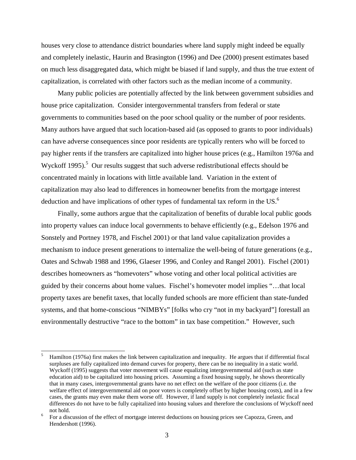houses very close to attendance district boundaries where land supply might indeed be equally and completely inelastic, Haurin and Brasington (1996) and Dee (2000) present estimates based on much less disaggregated data, which might be biased if land supply, and thus the true extent of capitalization, is correlated with other factors such as the median income of a community.

 Many public policies are potentially affected by the link between government subsidies and house price capitalization. Consider intergovernmental transfers from federal or state governments to communities based on the poor school quality or the number of poor residents. Many authors have argued that such location-based aid (as opposed to grants to poor individuals) can have adverse consequences since poor residents are typically renters who will be forced to pay higher rents if the transfers are capitalized into higher house prices (e.g., Hamilton 1976a and Wyckoff 1995).<sup>5</sup> Our results suggest that such adverse redistributional effects should be concentrated mainly in locations with little available land. Variation in the extent of capitalization may also lead to differences in homeowner benefits from the mortgage interest deduction and have implications of other types of fundamental tax reform in the US.<sup>6</sup>

 Finally, some authors argue that the capitalization of benefits of durable local public goods into property values can induce local governments to behave efficiently (e.g., Edelson 1976 and Sonstely and Portney 1978, and Fischel 2001) or that land value capitalization provides a mechanism to induce present generations to internalize the well-being of future generations (e.g., Oates and Schwab 1988 and 1996, Glaeser 1996, and Conley and Rangel 2001). Fischel (2001) describes homeowners as "homevoters" whose voting and other local political activities are guided by their concerns about home values. Fischel's homevoter model implies "…that local property taxes are benefit taxes, that locally funded schools are more efficient than state-funded systems, and that home-conscious "NIMBYs" [folks who cry "not in my backyard"] forestall an environmentally destructive "race to the bottom" in tax base competition." However, such

 $\overline{a}$ 5 Hamilton (1976a) first makes the link between capitalization and inequality. He argues that if differential fiscal surpluses are fully capitalized into demand curves for property, there can be no inequality in a static world. Wyckoff (1995) suggests that voter movement will cause equalizing intergovernmental aid (such as state education aid) to be capitalized into housing prices. Assuming a fixed housing supply, he shows theoretically that in many cases, intergovernmental grants have no net effect on the welfare of the poor citizens (i.e. the welfare effect of intergovernmental aid on poor voters is completely offset by higher housing costs), and in a few cases, the grants may even make them worse off. However, if land supply is not completely inelastic fiscal differences do not have to be fully capitalized into housing values and therefore the conclusions of Wyckoff need not hold. 6

For a discussion of the effect of mortgage interest deductions on housing prices see Capozza, Green, and Hendershott (1996).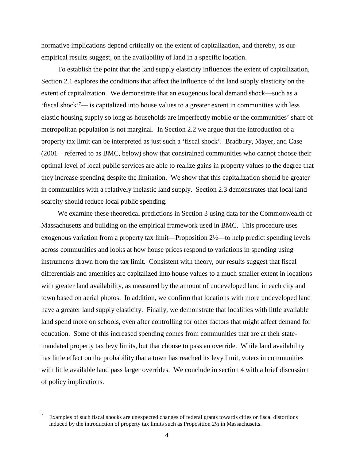normative implications depend critically on the extent of capitalization, and thereby, as our empirical results suggest, on the availability of land in a specific location.

 To establish the point that the land supply elasticity influences the extent of capitalization, Section 2.1 explores the conditions that affect the influence of the land supply elasticity on the extent of capitalization. We demonstrate that an exogenous local demand shock—such as a 'fiscal shock'7 — is capitalized into house values to a greater extent in communities with less elastic housing supply so long as households are imperfectly mobile or the communities' share of metropolitan population is not marginal. In Section 2.2 we argue that the introduction of a property tax limit can be interpreted as just such a 'fiscal shock'. Bradbury, Mayer, and Case (2001—referred to as BMC, below) show that constrained communities who cannot choose their optimal level of local public services are able to realize gains in property values to the degree that they increase spending despite the limitation. We show that this capitalization should be greater in communities with a relatively inelastic land supply. Section 2.3 demonstrates that local land scarcity should reduce local public spending.

 We examine these theoretical predictions in Section 3 using data for the Commonwealth of Massachusetts and building on the empirical framework used in BMC. This procedure uses exogenous variation from a property tax limit—Proposition 2½—to help predict spending levels across communities and looks at how house prices respond to variations in spending using instruments drawn from the tax limit. Consistent with theory, our results suggest that fiscal differentials and amenities are capitalized into house values to a much smaller extent in locations with greater land availability, as measured by the amount of undeveloped land in each city and town based on aerial photos. In addition, we confirm that locations with more undeveloped land have a greater land supply elasticity.Finally, we demonstrate that localities with little available land spend more on schools, even after controlling for other factors that might affect demand for education. Some of this increased spending comes from communities that are at their statemandated property tax levy limits, but that choose to pass an override. While land availability has little effect on the probability that a town has reached its levy limit, voters in communities with little available land pass larger overrides. We conclude in section 4 with a brief discussion of policy implications.

 $\overline{a}$ 

<sup>7</sup> Examples of such fiscal shocks are unexpected changes of federal grants towards cities or fiscal distortions induced by the introduction of property tax limits such as Proposition 2½ in Massachusetts.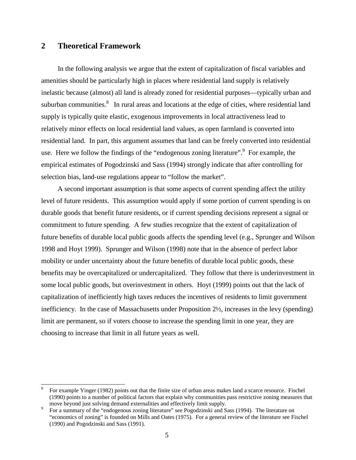### **2 Theoretical Framework**

 $\overline{a}$ 

 In the following analysis we argue that the extent of capitalization of fiscal variables and amenities should be particularly high in places where residential land supply is relatively inelastic because (almost) all land is already zoned for residential purposes—typically urban and suburban communities.<sup>8</sup> In rural areas and locations at the edge of cities, where residential land supply is typically quite elastic, exogenous improvements in local attractiveness lead to relatively minor effects on local residential land values, as open farmland is converted into residential land. In part, this argument assumes that land can be freely converted into residential use. Here we follow the findings of the "endogenous zoning literature".<sup>9</sup> For example, the empirical estimates of Pogodzinski and Sass (1994) strongly indicate that after controlling for selection bias, land-use regulations appear to "follow the market".

 A second important assumption is that some aspects of current spending affect the utility level of future residents. This assumption would apply if some portion of current spending is on durable goods that benefit future residents, or if current spending decisions represent a signal or commitment to future spending. A few studies recognize that the extent of capitalization of future benefits of durable local public goods affects the spending level (e.g., Sprunger and Wilson 1998 and Hoyt 1999). Sprunger and Wilson (1998) note that in the absence of perfect labor mobility or under uncertainty about the future benefits of durable local public goods, these benefits may be overcapitalized or undercapitalized. They follow that there is underinvestment in some local public goods, but overinvestment in others. Hoyt (1999) points out that the lack of capitalization of inefficiently high taxes reduces the incentives of residents to limit government inefficiency. In the case of Massachusetts under Proposition 2½, increases in the levy (spending) limit are permanent, so if voters choose to increase the spending limit in one year, they are choosing to increase that limit in all future years as well.

<sup>8</sup> For example Yinger (1982) points out that the finite size of urban areas makes land a scarce resource. Fischel (1990) points to a number of political factors that explain why communities pass restrictive zoning measures that move beyond just solving demand externalities and effectively limit supply. 9

For a summary of the "endogenous zoning literature" see Pogodzinski and Sass (1994). The literature on "economics of zoning" is founded on Mills and Oates (1975). For a general review of the literature see Fischel (1990) and Pogodzinski and Sass (1991).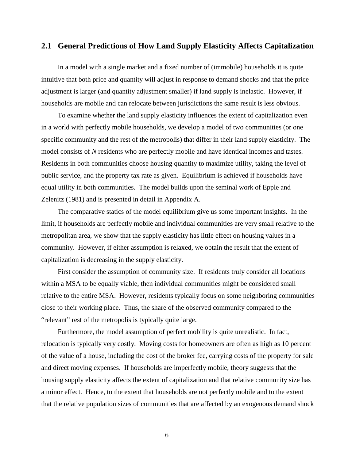### **2.1 General Predictions of How Land Supply Elasticity Affects Capitalization**

 In a model with a single market and a fixed number of (immobile) households it is quite intuitive that both price and quantity will adjust in response to demand shocks and that the price adjustment is larger (and quantity adjustment smaller) if land supply is inelastic. However, if households are mobile and can relocate between jurisdictions the same result is less obvious.

 To examine whether the land supply elasticity influences the extent of capitalization even in a world with perfectly mobile households, we develop a model of two communities (or one specific community and the rest of the metropolis) that differ in their land supply elasticity. The model consists of *N* residents who are perfectly mobile and have identical incomes and tastes. Residents in both communities choose housing quantity to maximize utility, taking the level of public service, and the property tax rate as given. Equilibrium is achieved if households have equal utility in both communities. The model builds upon the seminal work of Epple and Zelenitz (1981) and is presented in detail in Appendix A.

 The comparative statics of the model equilibrium give us some important insights. In the limit, if households are perfectly mobile and individual communities are very small relative to the metropolitan area, we show that the supply elasticity has little effect on housing values in a community. However, if either assumption is relaxed, we obtain the result that the extent of capitalization is decreasing in the supply elasticity.

 First consider the assumption of community size. If residents truly consider all locations within a MSA to be equally viable, then individual communities might be considered small relative to the entire MSA. However, residents typically focus on some neighboring communities close to their working place. Thus, the share of the observed community compared to the "relevant" rest of the metropolis is typically quite large.

 Furthermore, the model assumption of perfect mobility is quite unrealistic. In fact, relocation is typically very costly. Moving costs for homeowners are often as high as 10 percent of the value of a house, including the cost of the broker fee, carrying costs of the property for sale and direct moving expenses. If households are imperfectly mobile, theory suggests that the housing supply elasticity affects the extent of capitalization and that relative community size has a minor effect. Hence, to the extent that households are not perfectly mobile and to the extent that the relative population sizes of communities that are affected by an exogenous demand shock

6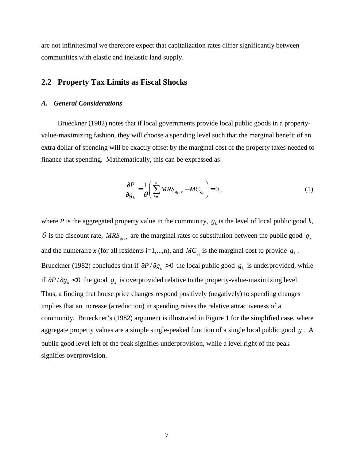are not infinitesimal we therefore expect that capitalization rates differ significantly between communities with elastic and inelastic land supply.

### **2.2 Property Tax Limits as Fiscal Shocks**

#### *A. General Considerations*

 Brueckner (1982) notes that if local governments provide local public goods in a propertyvalue-maximizing fashion, they will choose a spending level such that the marginal benefit of an extra dollar of spending will be exactly offset by the marginal cost of the property taxes needed to finance that spending. Mathematically, this can be expressed as

$$
\frac{\partial P}{\partial g_k} = \frac{1}{\theta} \left( \sum_{i=1}^n MRS_{g_k,x} - MC_{g_k} \right) = 0, \qquad (1)
$$

where *P* is the aggregated property value in the community,  $g_k$  is the level of local public good *k*,  $\theta$  is the discount rate,  $MRS_{g_k,x}$  are the marginal rates of substitution between the public good  $g_k$ and the numeraire *x* (for all residents i=1,...,n), and  $MC_{g_k}$  is the marginal cost to provide  $g_k$ . Brueckner (1982) concludes that if  $\partial P / \partial g_k > 0$  the local public good  $g_k$  is underprovided, while if  $\partial P / \partial g_k$  < 0 the good  $g_k$  is overprovided relative to the property-value-maximizing level. Thus, a finding that house price changes respond positively (negatively) to spending changes implies that an increase (a reduction) in spending raises the relative attractiveness of a community. Brueckner's (1982) argument is illustrated in Figure 1 for the simplified case, where aggregate property values are a simple single-peaked function of a single local public good *g* . A public good level left of the peak signifies underprovision, while a level right of the peak signifies overprovision.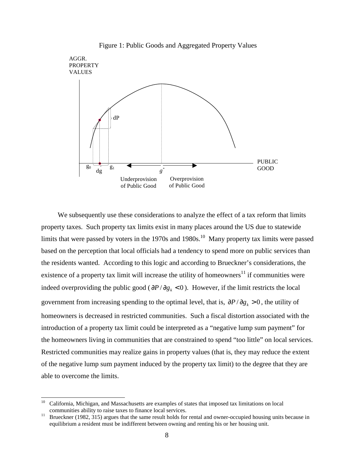

Figure 1: Public Goods and Aggregated Property Values

 We subsequently use these considerations to analyze the effect of a tax reform that limits property taxes. Such property tax limits exist in many places around the US due to statewide limits that were passed by voters in the 1970s and 1980s.<sup>10</sup> Many property tax limits were passed based on the perception that local officials had a tendency to spend more on public services than the residents wanted. According to this logic and according to Brueckner's considerations, the existence of a property tax limit will increase the utility of homeowners $11$  if communities were indeed overproviding the public good ( $\partial P / \partial g_k < 0$ ). However, if the limit restricts the local government from increasing spending to the optimal level, that is,  $\partial P / \partial g_k > 0$ , the utility of homeowners is decreased in restricted communities. Such a fiscal distortion associated with the introduction of a property tax limit could be interpreted as a "negative lump sum payment" for the homeowners living in communities that are constrained to spend "too little" on local services. Restricted communities may realize gains in property values (that is, they may reduce the extent of the negative lump sum payment induced by the property tax limit) to the degree that they are able to overcome the limits.

 $\overline{a}$ 

<sup>10</sup> California, Michigan, and Massachusetts are examples of states that imposed tax limitations on local communities ability to raise taxes to finance local services.<br><sup>11</sup> Brueckner (1982, 315) argues that the same result holds for rental and owner-occupied housing units because in

equilibrium a resident must be indifferent between owning and renting his or her housing unit.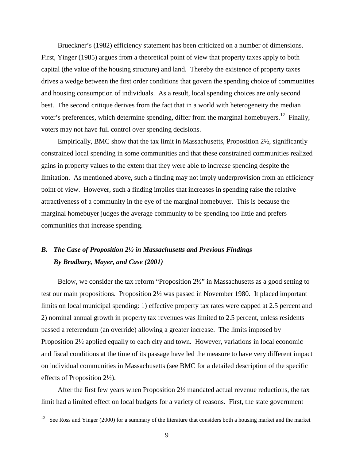Brueckner's (1982) efficiency statement has been criticized on a number of dimensions. First, Yinger (1985) argues from a theoretical point of view that property taxes apply to both capital (the value of the housing structure) and land. Thereby the existence of property taxes drives a wedge between the first order conditions that govern the spending choice of communities and housing consumption of individuals. As a result, local spending choices are only second best. The second critique derives from the fact that in a world with heterogeneity the median voter's preferences, which determine spending, differ from the marginal homebuyers.<sup>12</sup> Finally, voters may not have full control over spending decisions.

 Empirically, BMC show that the tax limit in Massachusetts, Proposition 2½, significantly constrained local spending in some communities and that these constrained communities realized gains in property values to the extent that they were able to increase spending despite the limitation. As mentioned above, such a finding may not imply underprovision from an efficiency point of view. However, such a finding implies that increases in spending raise the relative attractiveness of a community in the eye of the marginal homebuyer. This is because the marginal homebuyer judges the average community to be spending too little and prefers communities that increase spending.

# *B. The Case of Proposition 2½ in Massachusetts and Previous Findings By Bradbury, Mayer, and Case (2001)*

 Below, we consider the tax reform "Proposition 2½" in Massachusetts as a good setting to test our main propositions. Proposition 2½ was passed in November 1980. It placed important limits on local municipal spending: 1) effective property tax rates were capped at 2.5 percent and 2) nominal annual growth in property tax revenues was limited to 2.5 percent, unless residents passed a referendum (an override) allowing a greater increase. The limits imposed by Proposition 2½ applied equally to each city and town. However, variations in local economic and fiscal conditions at the time of its passage have led the measure to have very different impact on individual communities in Massachusetts (see BMC for a detailed description of the specific effects of Proposition 2½).

 After the first few years when Proposition 2½ mandated actual revenue reductions, the tax limit had a limited effect on local budgets for a variety of reasons. First, the state government

 $12$ 12 See Ross and Yinger (2000) for a summary of the literature that considers both a housing market and the market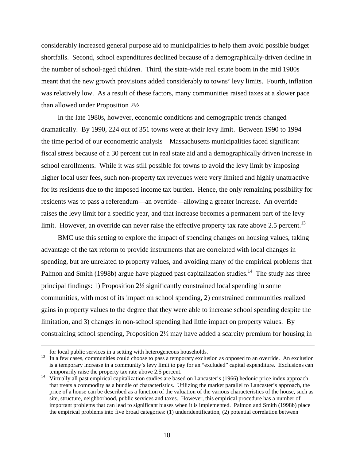considerably increased general purpose aid to municipalities to help them avoid possible budget shortfalls. Second, school expenditures declined because of a demographically-driven decline in the number of school-aged children. Third, the state-wide real estate boom in the mid 1980s meant that the new growth provisions added considerably to towns' levy limits. Fourth, inflation was relatively low. As a result of these factors, many communities raised taxes at a slower pace than allowed under Proposition 2½.

 In the late 1980s, however, economic conditions and demographic trends changed dramatically. By 1990, 224 out of 351 towns were at their levy limit. Between 1990 to 1994 the time period of our econometric analysis—Massachusetts municipalities faced significant fiscal stress because of a 30 percent cut in real state aid and a demographically driven increase in school enrollments. While it was still possible for towns to avoid the levy limit by imposing higher local user fees, such non-property tax revenues were very limited and highly unattractive for its residents due to the imposed income tax burden. Hence, the only remaining possibility for residents was to pass a referendum—an override—allowing a greater increase. An override raises the levy limit for a specific year, and that increase becomes a permanent part of the levy limit. However, an override can never raise the effective property tax rate above 2.5 percent.<sup>13</sup>

BMC use this setting to explore the impact of spending changes on housing values, taking advantage of the tax reform to provide instruments that are correlated with local changes in spending, but are unrelated to property values, and avoiding many of the empirical problems that Palmon and Smith (1998b) argue have plagued past capitalization studies.<sup>14</sup> The study has three principal findings: 1) Proposition 2½ significantly constrained local spending in some communities, with most of its impact on school spending, 2) constrained communities realized gains in property values to the degree that they were able to increase school spending despite the limitation, and 3) changes in non-school spending had little impact on property values. By constraining school spending, Proposition 2½ may have added a scarcity premium for housing in

 $\overline{a}$ 

for local public services in a setting with heterogeneous households.<br><sup>13</sup> In a few cases, communities could choose to pass a temporary exclusion as opposed to an override. An exclusion is a temporary increase in a community's levy limit to pay for an "excluded" capital expenditure. Exclusions can

temporarily raise the property tax rate above 2.5 percent.<br><sup>14</sup> Virtually all past empirical capitalization studies are based on Lancaster's (1966) hedonic price index approach that treats a commodity as a bundle of characteristics. Utilizing the market parallel to Lancaster's approach, the price of a house can be described as a function of the valuation of the various characteristics of the house, such as site, structure, neighborhood, public services and taxes. However, this empirical procedure has a number of important problems that can lead to significant biases when it is implemented. Palmon and Smith (1998b) place the empirical problems into five broad categories: (1) underidentification, (2) potential correlation between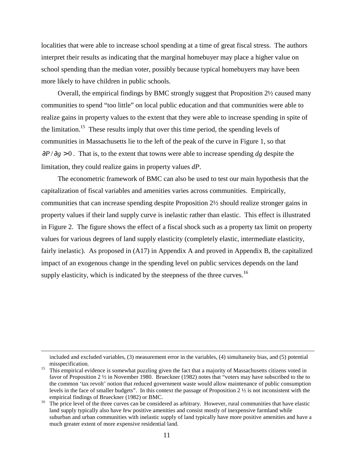localities that were able to increase school spending at a time of great fiscal stress. The authors interpret their results as indicating that the marginal homebuyer may place a higher value on school spending than the median voter, possibly because typical homebuyers may have been more likely to have children in public schools.

 Overall, the empirical findings by BMC strongly suggest that Proposition 2½ caused many communities to spend "too little" on local public education and that communities were able to realize gains in property values to the extent that they were able to increase spending in spite of the limitation.15 These results imply that over this time period, the spending levels of communities in Massachusetts lie to the left of the peak of the curve in Figure 1, so that  $\frac{\partial P}{\partial g} > 0$ . That is, to the extent that towns were able to increase spending *dg* despite the limitation, they could realize gains in property values *dP*.

 The econometric framework of BMC can also be used to test our main hypothesis that the capitalization of fiscal variables and amenities varies across communities. Empirically, communities that can increase spending despite Proposition 2½ should realize stronger gains in property values if their land supply curve is inelastic rather than elastic. This effect is illustrated in Figure 2. The figure shows the effect of a fiscal shock such as a property tax limit on property values for various degrees of land supply elasticity (completely elastic, intermediate elasticity, fairly inelastic). As proposed in (A17) in Appendix A and proved in Appendix B, the capitalized impact of an exogenous change in the spending level on public services depends on the land supply elasticity, which is indicated by the steepness of the three curves.<sup>16</sup>

 $\overline{a}$ 

included and excluded variables, (3) measurement error in the variables, (4) simultaneity bias, and (5) potential misspecification.<br><sup>15</sup> This empirical evidence is somewhat puzzling given the fact that a majority of Massachusetts citizens voted in

favor of Proposition 2 ½ in November 1980. Brueckner (1982) notes that "voters may have subscribed to the to the common 'tax revolt' notion that reduced government waste would allow maintenance of public consumption levels in the face of smaller budgets". In this context the passage of Proposition 2 ½ is not inconsistent with the

empirical findings of Brueckner (1982) or BMC.<br><sup>16</sup> The price level of the three curves can be considered as arbitrary. However, rural communities that have elastic land supply typically also have few positive amenities and consist mostly of inexpensive farmland while suburban and urban communities with inelastic supply of land typically have more positive amenities and have a much greater extent of more expensive residential land.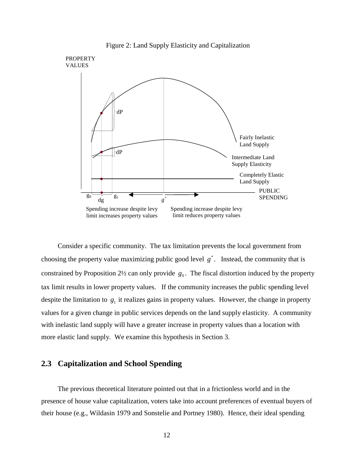

Figure 2: Land Supply Elasticity and Capitalization

 Consider a specific community. The tax limitation prevents the local government from choosing the property value maximizing public good level  $g^*$ . Instead, the community that is constrained by Proposition 2<sup>1</sup>/<sub>2</sub> can only provide  $g_0$ . The fiscal distortion induced by the property tax limit results in lower property values. If the community increases the public spending level despite the limitation to  $g_1$  it realizes gains in property values. However, the change in property values for a given change in public services depends on the land supply elasticity. A community with inelastic land supply will have a greater increase in property values than a location with more elastic land supply. We examine this hypothesis in Section 3.

### **2.3 Capitalization and School Spending**

 The previous theoretical literature pointed out that in a frictionless world and in the presence of house value capitalization, voters take into account preferences of eventual buyers of their house (e.g., Wildasin 1979 and Sonstelie and Portney 1980). Hence, their ideal spending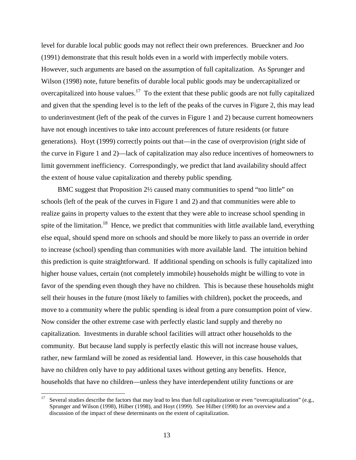level for durable local public goods may not reflect their own preferences. Brueckner and Joo (1991) demonstrate that this result holds even in a world with imperfectly mobile voters. However, such arguments are based on the assumption of full capitalization. As Sprunger and Wilson (1998) note, future benefits of durable local public goods may be undercapitalized or overcapitalized into house values.<sup>17</sup> To the extent that these public goods are not fully capitalized and given that the spending level is to the left of the peaks of the curves in Figure 2, this may lead to underinvestment (left of the peak of the curves in Figure 1 and 2) because current homeowners have not enough incentives to take into account preferences of future residents (or future generations). Hoyt (1999) correctly points out that—in the case of overprovision (right side of the curve in Figure 1 and 2)—lack of capitalization may also reduce incentives of homeowners to limit government inefficiency. Correspondingly, we predict that land availability should affect the extent of house value capitalization and thereby public spending.

 BMC suggest that Proposition 2½ caused many communities to spend "too little" on schools (left of the peak of the curves in Figure 1 and 2) and that communities were able to realize gains in property values to the extent that they were able to increase school spending in spite of the limitation.<sup>18</sup> Hence, we predict that communities with little available land, everything else equal, should spend more on schools and should be more likely to pass an override in order to increase (school) spending than communities with more available land. The intuition behind this prediction is quite straightforward. If additional spending on schools is fully capitalized into higher house values, certain (not completely immobile) households might be willing to vote in favor of the spending even though they have no children. This is because these households might sell their houses in the future (most likely to families with children), pocket the proceeds, and move to a community where the public spending is ideal from a pure consumption point of view. Now consider the other extreme case with perfectly elastic land supply and thereby no capitalization. Investments in durable school facilities will attract other households to the community. But because land supply is perfectly elastic this will not increase house values, rather, new farmland will be zoned as residential land. However, in this case households that have no children only have to pay additional taxes without getting any benefits. Hence, households that have no children—unless they have interdependent utility functions or are

 $17$ Several studies describe the factors that may lead to less than full capitalization or even "overcapitalization" (e.g., Sprunger and Wilson (1998), Hilber (1998), and Hoyt (1999). See Hilber (1998) for an overview and a discussion of the impact of these determinants on the extent of capitalization.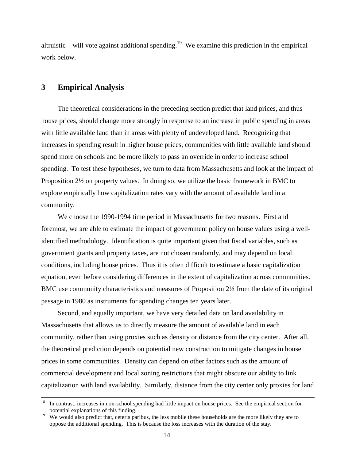altruistic—will vote against additional spending.<sup>19</sup> We examine this prediction in the empirical work below.

### **3 Empirical Analysis**

 The theoretical considerations in the preceding section predict that land prices, and thus house prices, should change more strongly in response to an increase in public spending in areas with little available land than in areas with plenty of undeveloped land. Recognizing that increases in spending result in higher house prices, communities with little available land should spend more on schools and be more likely to pass an override in order to increase school spending. To test these hypotheses, we turn to data from Massachusetts and look at the impact of Proposition 2½ on property values. In doing so, we utilize the basic framework in BMC to explore empirically how capitalization rates vary with the amount of available land in a community.

We choose the 1990-1994 time period in Massachusetts for two reasons. First and foremost, we are able to estimate the impact of government policy on house values using a wellidentified methodology. Identification is quite important given that fiscal variables, such as government grants and property taxes, are not chosen randomly, and may depend on local conditions, including house prices. Thus it is often difficult to estimate a basic capitalization equation, even before considering differences in the extent of capitalization across communities. BMC use community characteristics and measures of Proposition 2½ from the date of its original passage in 1980 as instruments for spending changes ten years later.

Second, and equally important, we have very detailed data on land availability in Massachusetts that allows us to directly measure the amount of available land in each community, rather than using proxies such as density or distance from the city center. After all, the theoretical prediction depends on potential new construction to mitigate changes in house prices in some communities. Density can depend on other factors such as the amount of commercial development and local zoning restrictions that might obscure our ability to link capitalization with land availability. Similarly, distance from the city center only proxies for land

 <sup>18</sup> In contrast, increases in non-school spending had little impact on house prices. See the empirical section for potential explanations of this finding.

 $19\text{ W}$  We would also predict that, ceteris paribus, the less mobile these households are the more likely they are to oppose the additional spending. This is because the loss increases with the duration of the stay.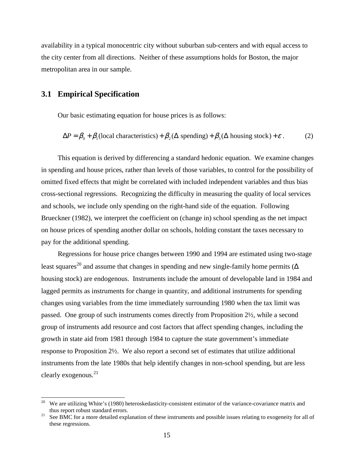availability in a typical monocentric city without suburban sub-centers and with equal access to the city center from all directions. Neither of these assumptions holds for Boston, the major metropolitan area in our sample.

### **3.1 Empirical Specification**

 $\overline{a}$ 

Our basic estimating equation for house prices is as follows:

$$
\Delta P = \beta_0 + \beta_1 \text{(local characteristics)} + \beta_2 \text{( $\Delta$  spending)} + \beta_3 \text{( $\Delta$  housing stock)} + \varepsilon.
$$
 (2)

 This equation is derived by differencing a standard hedonic equation. We examine changes in spending and house prices, rather than levels of those variables, to control for the possibility of omitted fixed effects that might be correlated with included independent variables and thus bias cross-sectional regressions. Recognizing the difficulty in measuring the quality of local services and schools, we include only spending on the right-hand side of the equation. Following Brueckner (1982), we interpret the coefficient on (change in) school spending as the net impact on house prices of spending another dollar on schools, holding constant the taxes necessary to pay for the additional spending.

 Regressions for house price changes between 1990 and 1994 are estimated using two-stage least squares<sup>20</sup> and assume that changes in spending and new single-family home permits ( $\Delta$ housing stock) are endogenous. Instruments include the amount of developable land in 1984 and lagged permits as instruments for change in quantity, and additional instruments for spending changes using variables from the time immediately surrounding 1980 when the tax limit was passed. One group of such instruments comes directly from Proposition 2½, while a second group of instruments add resource and cost factors that affect spending changes, including the growth in state aid from 1981 through 1984 to capture the state government's immediate response to Proposition 2½. We also report a second set of estimates that utilize additional instruments from the late 1980s that help identify changes in non-school spending, but are less clearly exogenous.<sup>21</sup>

We are utilizing White's (1980) heteroskedasticity-consistent estimator of the variance-covariance matrix and thus report robust standard errors.<br><sup>21</sup> See BMC for a more detailed explanation of these instruments and possible issues relating to exogeneity for all of

these regressions.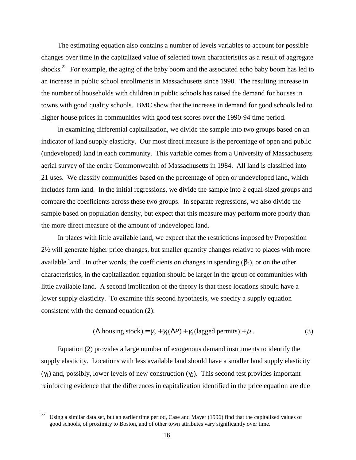The estimating equation also contains a number of levels variables to account for possible changes over time in the capitalized value of selected town characteristics as a result of aggregate shocks.<sup>22</sup> For example, the aging of the baby boom and the associated echo baby boom has led to an increase in public school enrollments in Massachusetts since 1990. The resulting increase in the number of households with children in public schools has raised the demand for houses in towns with good quality schools. BMC show that the increase in demand for good schools led to higher house prices in communities with good test scores over the 1990-94 time period.

In examining differential capitalization, we divide the sample into two groups based on an indicator of land supply elasticity. Our most direct measure is the percentage of open and public (undeveloped) land in each community. This variable comes from a University of Massachusetts aerial survey of the entire Commonwealth of Massachusetts in 1984. All land is classified into 21 uses. We classify communities based on the percentage of open or undeveloped land, which includes farm land. In the initial regressions, we divide the sample into 2 equal-sized groups and compare the coefficients across these two groups. In separate regressions, we also divide the sample based on population density, but expect that this measure may perform more poorly than the more direct measure of the amount of undeveloped land.

In places with little available land, we expect that the restrictions imposed by Proposition 2½ will generate higher price changes, but smaller quantity changes relative to places with more available land. In other words, the coefficients on changes in spending  $(\beta_2)$ , or on the other characteristics, in the capitalization equation should be larger in the group of communities with little available land. A second implication of the theory is that these locations should have a lower supply elasticity. To examine this second hypothesis, we specify a supply equation consistent with the demand equation (2):

$$
(\Delta \text{ housing stock}) = \gamma_0 + \gamma_1(\Delta P) + \gamma_2(\text{lagged permits}) + \mu. \tag{3}
$$

 Equation (2) provides a large number of exogenous demand instruments to identify the supply elasticity. Locations with less available land should have a smaller land supply elasticity (γ<sub>1</sub>) and, possibly, lower levels of new construction (γ<sub>2</sub>). This second test provides important reinforcing evidence that the differences in capitalization identified in the price equation are due

 $\overline{a}$ 

<sup>22</sup> Using a similar data set, but an earlier time period, Case and Mayer (1996) find that the capitalized values of good schools, of proximity to Boston, and of other town attributes vary significantly over time.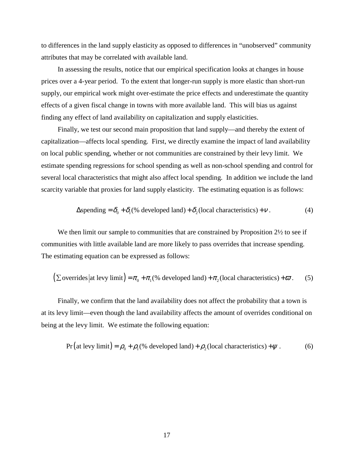to differences in the land supply elasticity as opposed to differences in "unobserved" community attributes that may be correlated with available land.

In assessing the results, notice that our empirical specification looks at changes in house prices over a 4-year period. To the extent that longer-run supply is more elastic than short-run supply, our empirical work might over-estimate the price effects and underestimate the quantity effects of a given fiscal change in towns with more available land. This will bias us against finding any effect of land availability on capitalization and supply elasticities.

Finally, we test our second main proposition that land supply—and thereby the extent of capitalization—affects local spending. First, we directly examine the impact of land availability on local public spending, whether or not communities are constrained by their levy limit. We estimate spending regressions for school spending as well as non-school spending and control for several local characteristics that might also affect local spending. In addition we include the land scarcity variable that proxies for land supply elasticity. The estimating equation is as follows:

$$
\Delta \text{spending} = \delta_0 + \delta_1 (\% \text{ developed land}) + \delta_2 (\text{local characteristics}) + v \,. \tag{4}
$$

We then limit our sample to communities that are constrained by Proposition  $2\frac{1}{2}$  to see if communities with little available land are more likely to pass overrides that increase spending. The estimating equation can be expressed as follows:

$$
\left(\sum \text{overrides}\left|\text{at} \text{levy limit}\right.\right) = \pi_0 + \pi_1\left(\%\text{ developed land}\right) + \pi_2\left(\text{local characteristics}\right) + \varpi. \tag{5}
$$

Finally, we confirm that the land availability does not affect the probability that a town is at its levy limit—even though the land availability affects the amount of overrides conditional on being at the levy limit. We estimate the following equation:

$$
Pr (at levy limit) = \rho_0 + \rho_1 (\% developed land) + \rho_2 (local characteristics) + \psi . \tag{6}
$$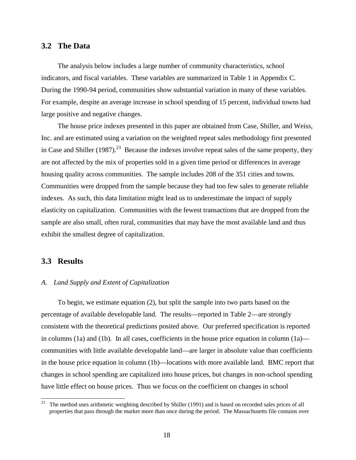### **3.2 The Data**

The analysis below includes a large number of community characteristics, school indicators, and fiscal variables. These variables are summarized in Table 1 in Appendix C. During the 1990-94 period, communities show substantial variation in many of these variables. For example, despite an average increase in school spending of 15 percent, individual towns had large positive and negative changes.

The house price indexes presented in this paper are obtained from Case, Shiller, and Weiss, Inc. and are estimated using a variation on the weighted repeat sales methodology first presented in Case and Shiller  $(1987)^{23}$  Because the indexes involve repeat sales of the same property, they are not affected by the mix of properties sold in a given time period or differences in average housing quality across communities. The sample includes 208 of the 351 cities and towns. Communities were dropped from the sample because they had too few sales to generate reliable indexes. As such, this data limitation might lead us to underestimate the impact of supply elasticity on capitalization. Communities with the fewest transactions that are dropped from the sample are also small, often rural, communities that may have the most available land and thus exhibit the smallest degree of capitalization.

#### **3.3 Results**

#### *A. Land Supply and Extent of Capitalization*

To begin, we estimate equation (2), but split the sample into two parts based on the percentage of available developable land. The results—reported in Table 2—are strongly consistent with the theoretical predictions posited above. Our preferred specification is reported in columns (1a) and (1b). In all cases, coefficients in the house price equation in column (1a) communities with little available developable land—are larger in absolute value than coefficients in the house price equation in column (1b)—locations with more available land. BMC report that changes in school spending are capitalized into house prices, but changes in non-school spending have little effect on house prices. Thus we focus on the coefficient on changes in school

<sup>23</sup> 23 The method uses arithmetic weighting described by Shiller (1991) and is based on recorded sales prices of all properties that pass through the market more than once during the period. The Massachusetts file contains over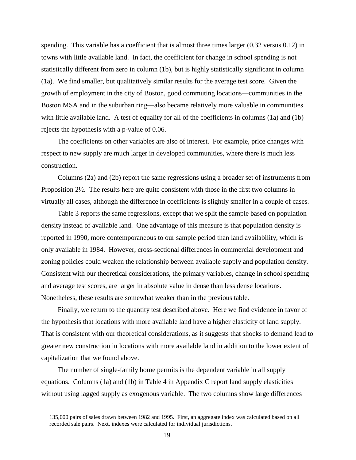spending. This variable has a coefficient that is almost three times larger (0.32 versus 0.12) in towns with little available land. In fact, the coefficient for change in school spending is not statistically different from zero in column (1b), but is highly statistically significant in column (1a). We find smaller, but qualitatively similar results for the average test score. Given the growth of employment in the city of Boston, good commuting locations—communities in the Boston MSA and in the suburban ring—also became relatively more valuable in communities with little available land. A test of equality for all of the coefficients in columns (1a) and (1b) rejects the hypothesis with a p-value of 0.06.

The coefficients on other variables are also of interest. For example, price changes with respect to new supply are much larger in developed communities, where there is much less construction.

Columns (2a) and (2b) report the same regressions using a broader set of instruments from Proposition 2½. The results here are quite consistent with those in the first two columns in virtually all cases, although the difference in coefficients is slightly smaller in a couple of cases.

Table 3 reports the same regressions, except that we split the sample based on population density instead of available land. One advantage of this measure is that population density is reported in 1990, more contemporaneous to our sample period than land availability, which is only available in 1984. However, cross-sectional differences in commercial development and zoning policies could weaken the relationship between available supply and population density. Consistent with our theoretical considerations, the primary variables, change in school spending and average test scores, are larger in absolute value in dense than less dense locations. Nonetheless, these results are somewhat weaker than in the previous table.

Finally, we return to the quantity test described above. Here we find evidence in favor of the hypothesis that locations with more available land have a higher elasticity of land supply. That is consistent with our theoretical considerations, as it suggests that shocks to demand lead to greater new construction in locations with more available land in addition to the lower extent of capitalization that we found above.

The number of single-family home permits is the dependent variable in all supply equations. Columns (1a) and (1b) in Table 4 in Appendix C report land supply elasticities without using lagged supply as exogenous variable. The two columns show large differences

 $\overline{a}$ 

<sup>135,000</sup> pairs of sales drawn between 1982 and 1995. First, an aggregate index was calculated based on all recorded sale pairs. Next, indexes were calculated for individual jurisdictions.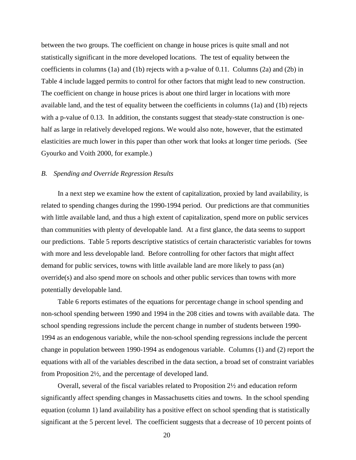between the two groups. The coefficient on change in house prices is quite small and not statistically significant in the more developed locations. The test of equality between the coefficients in columns (1a) and (1b) rejects with a p-value of 0.11. Columns (2a) and (2b) in Table 4 include lagged permits to control for other factors that might lead to new construction. The coefficient on change in house prices is about one third larger in locations with more available land, and the test of equality between the coefficients in columns (1a) and (1b) rejects with a p-value of 0.13. In addition, the constants suggest that steady-state construction is onehalf as large in relatively developed regions. We would also note, however, that the estimated elasticities are much lower in this paper than other work that looks at longer time periods. (See Gyourko and Voith 2000, for example.)

#### *B. Spending and Override Regression Results*

 In a next step we examine how the extent of capitalization, proxied by land availability, is related to spending changes during the 1990-1994 period. Our predictions are that communities with little available land, and thus a high extent of capitalization, spend more on public services than communities with plenty of developable land. At a first glance, the data seems to support our predictions. Table 5 reports descriptive statistics of certain characteristic variables for towns with more and less developable land. Before controlling for other factors that might affect demand for public services, towns with little available land are more likely to pass (an) override(s) and also spend more on schools and other public services than towns with more potentially developable land.

 Table 6 reports estimates of the equations for percentage change in school spending and non-school spending between 1990 and 1994 in the 208 cities and towns with available data. The school spending regressions include the percent change in number of students between 1990- 1994 as an endogenous variable, while the non-school spending regressions include the percent change in population between 1990-1994 as endogenous variable. Columns (1) and (2) report the equations with all of the variables described in the data section, a broad set of constraint variables from Proposition 2½, and the percentage of developed land.

 Overall, several of the fiscal variables related to Proposition 2½ and education reform significantly affect spending changes in Massachusetts cities and towns. In the school spending equation (column 1) land availability has a positive effect on school spending that is statistically significant at the 5 percent level. The coefficient suggests that a decrease of 10 percent points of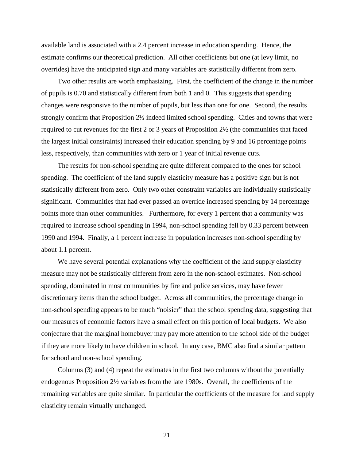available land is associated with a 2.4 percent increase in education spending. Hence, the estimate confirms our theoretical prediction. All other coefficients but one (at levy limit, no overrides) have the anticipated sign and many variables are statistically different from zero.

 Two other results are worth emphasizing. First, the coefficient of the change in the number of pupils is 0.70 and statistically different from both 1 and 0. This suggests that spending changes were responsive to the number of pupils, but less than one for one. Second, the results strongly confirm that Proposition 2½ indeed limited school spending. Cities and towns that were required to cut revenues for the first 2 or 3 years of Proposition 2½ (the communities that faced the largest initial constraints) increased their education spending by 9 and 16 percentage points less, respectively, than communities with zero or 1 year of initial revenue cuts.

 The results for non-school spending are quite different compared to the ones for school spending. The coefficient of the land supply elasticity measure has a positive sign but is not statistically different from zero. Only two other constraint variables are individually statistically significant. Communities that had ever passed an override increased spending by 14 percentage points more than other communities. Furthermore, for every 1 percent that a community was required to increase school spending in 1994, non-school spending fell by 0.33 percent between 1990 and 1994. Finally, a 1 percent increase in population increases non-school spending by about 1.1 percent.

We have several potential explanations why the coefficient of the land supply elasticity measure may not be statistically different from zero in the non-school estimates. Non-school spending, dominated in most communities by fire and police services, may have fewer discretionary items than the school budget. Across all communities, the percentage change in non-school spending appears to be much "noisier" than the school spending data, suggesting that our measures of economic factors have a small effect on this portion of local budgets. We also conjecture that the marginal homebuyer may pay more attention to the school side of the budget if they are more likely to have children in school. In any case, BMC also find a similar pattern for school and non-school spending.

 Columns (3) and (4) repeat the estimates in the first two columns without the potentially endogenous Proposition 2½ variables from the late 1980s. Overall, the coefficients of the remaining variables are quite similar. In particular the coefficients of the measure for land supply elasticity remain virtually unchanged.

21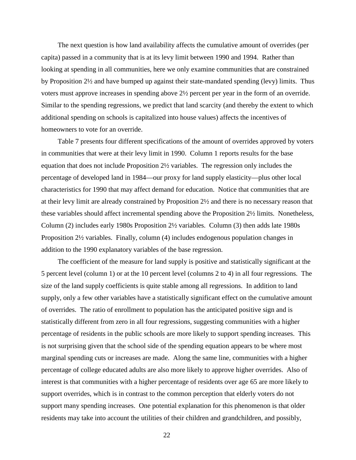The next question is how land availability affects the cumulative amount of overrides (per capita) passed in a community that is at its levy limit between 1990 and 1994. Rather than looking at spending in all communities, here we only examine communities that are constrained by Proposition 2½ and have bumped up against their state-mandated spending (levy) limits. Thus voters must approve increases in spending above 2½ percent per year in the form of an override. Similar to the spending regressions, we predict that land scarcity (and thereby the extent to which additional spending on schools is capitalized into house values) affects the incentives of homeowners to vote for an override.

 Table 7 presents four different specifications of the amount of overrides approved by voters in communities that were at their levy limit in 1990. Column 1 reports results for the base equation that does not include Proposition 2½ variables. The regression only includes the percentage of developed land in 1984—our proxy for land supply elasticity—plus other local characteristics for 1990 that may affect demand for education. Notice that communities that are at their levy limit are already constrained by Proposition 2½ and there is no necessary reason that these variables should affect incremental spending above the Proposition 2½ limits. Nonetheless, Column (2) includes early 1980s Proposition  $2\frac{1}{2}$  variables. Column (3) then adds late 1980s Proposition 2½ variables. Finally, column (4) includes endogenous population changes in addition to the 1990 explanatory variables of the base regression.

 The coefficient of the measure for land supply is positive and statistically significant at the 5 percent level (column 1) or at the 10 percent level (columns 2 to 4) in all four regressions. The size of the land supply coefficients is quite stable among all regressions. In addition to land supply, only a few other variables have a statistically significant effect on the cumulative amount of overrides. The ratio of enrollment to population has the anticipated positive sign and is statistically different from zero in all four regressions, suggesting communities with a higher percentage of residents in the public schools are more likely to support spending increases. This is not surprising given that the school side of the spending equation appears to be where most marginal spending cuts or increases are made. Along the same line, communities with a higher percentage of college educated adults are also more likely to approve higher overrides. Also of interest is that communities with a higher percentage of residents over age 65 are more likely to support overrides, which is in contrast to the common perception that elderly voters do not support many spending increases. One potential explanation for this phenomenon is that older residents may take into account the utilities of their children and grandchildren, and possibly,

22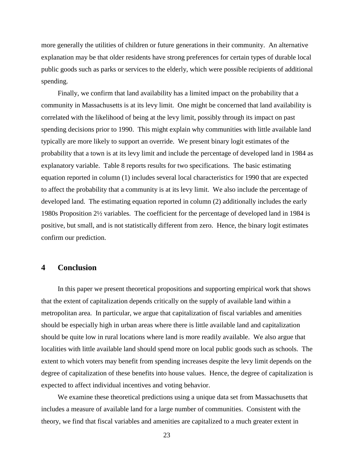more generally the utilities of children or future generations in their community. An alternative explanation may be that older residents have strong preferences for certain types of durable local public goods such as parks or services to the elderly, which were possible recipients of additional spending.

 Finally, we confirm that land availability has a limited impact on the probability that a community in Massachusetts is at its levy limit. One might be concerned that land availability is correlated with the likelihood of being at the levy limit, possibly through its impact on past spending decisions prior to 1990. This might explain why communities with little available land typically are more likely to support an override. We present binary logit estimates of the probability that a town is at its levy limit and include the percentage of developed land in 1984 as explanatory variable. Table 8 reports results for two specifications. The basic estimating equation reported in column (1) includes several local characteristics for 1990 that are expected to affect the probability that a community is at its levy limit. We also include the percentage of developed land. The estimating equation reported in column (2) additionally includes the early 1980s Proposition 2½ variables. The coefficient for the percentage of developed land in 1984 is positive, but small, and is not statistically different from zero. Hence, the binary logit estimates confirm our prediction.

### **4 Conclusion**

In this paper we present theoretical propositions and supporting empirical work that shows that the extent of capitalization depends critically on the supply of available land within a metropolitan area. In particular, we argue that capitalization of fiscal variables and amenities should be especially high in urban areas where there is little available land and capitalization should be quite low in rural locations where land is more readily available. We also argue that localities with little available land should spend more on local public goods such as schools. The extent to which voters may benefit from spending increases despite the levy limit depends on the degree of capitalization of these benefits into house values. Hence, the degree of capitalization is expected to affect individual incentives and voting behavior.

We examine these theoretical predictions using a unique data set from Massachusetts that includes a measure of available land for a large number of communities. Consistent with the theory, we find that fiscal variables and amenities are capitalized to a much greater extent in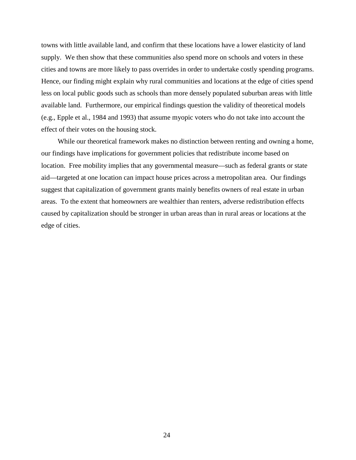towns with little available land, and confirm that these locations have a lower elasticity of land supply. We then show that these communities also spend more on schools and voters in these cities and towns are more likely to pass overrides in order to undertake costly spending programs. Hence, our finding might explain why rural communities and locations at the edge of cities spend less on local public goods such as schools than more densely populated suburban areas with little available land. Furthermore, our empirical findings question the validity of theoretical models (e.g., Epple et al., 1984 and 1993) that assume myopic voters who do not take into account the effect of their votes on the housing stock.

While our theoretical framework makes no distinction between renting and owning a home, our findings have implications for government policies that redistribute income based on location. Free mobility implies that any governmental measure—such as federal grants or state aid—targeted at one location can impact house prices across a metropolitan area. Our findings suggest that capitalization of government grants mainly benefits owners of real estate in urban areas. To the extent that homeowners are wealthier than renters, adverse redistribution effects caused by capitalization should be stronger in urban areas than in rural areas or locations at the edge of cities.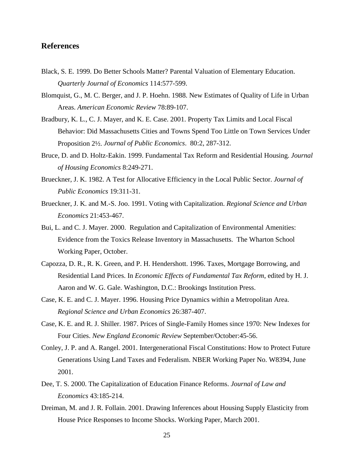### **References**

- Black, S. E. 1999. Do Better Schools Matter? Parental Valuation of Elementary Education. *Quarterly Journal of Economics* 114:577-599.
- Blomquist, G., M. C. Berger, and J. P. Hoehn. 1988. New Estimates of Quality of Life in Urban Areas. *American Economic Review* 78:89-107.
- Bradbury, K. L., C. J. Mayer, and K. E. Case. 2001. Property Tax Limits and Local Fiscal Behavior: Did Massachusetts Cities and Towns Spend Too Little on Town Services Under Proposition 2½. *Journal of Public Economics*. 80:2, 287-312.
- Bruce, D. and D. Holtz-Eakin. 1999. Fundamental Tax Reform and Residential Housing. *Journal of Housing Economics* 8:249-271.
- Brueckner, J. K. 1982. A Test for Allocative Efficiency in the Local Public Sector. *Journal of Public Economics* 19:311-31.
- Brueckner, J. K. and M.-S. Joo. 1991. Voting with Capitalization. *Regional Science and Urban Economics* 21:453-467.
- Bui, L. and C. J. Mayer. 2000. Regulation and Capitalization of Environmental Amenities: Evidence from the Toxics Release Inventory in Massachusetts. The Wharton School Working Paper, October.
- Capozza, D. R., R. K. Green, and P. H. Hendershott. 1996. Taxes, Mortgage Borrowing, and Residential Land Prices. In *Economic Effects of Fundamental Tax Reform*, edited by H. J. Aaron and W. G. Gale. Washington, D.C.: Brookings Institution Press.
- Case, K. E. and C. J. Mayer. 1996. Housing Price Dynamics within a Metropolitan Area. *Regional Science and Urban Economics* 26:387-407.
- Case, K. E. and R. J. Shiller. 1987. Prices of Single-Family Homes since 1970: New Indexes for Four Cities. *New England Economic Review* September/October:45-56.
- Conley, J. P. and A. Rangel. 2001. Intergenerational Fiscal Constitutions: How to Protect Future Generations Using Land Taxes and Federalism. NBER Working Paper No. W8394, June 2001.
- Dee, T. S. 2000. The Capitalization of Education Finance Reforms. *Journal of Law and Economics* 43:185-214.
- Dreiman, M. and J. R. Follain. 2001. Drawing Inferences about Housing Supply Elasticity from House Price Responses to Income Shocks. Working Paper, March 2001.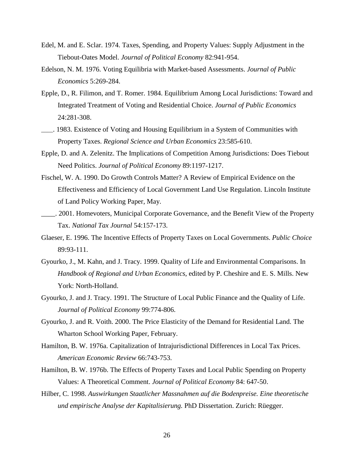- Edel, M. and E. Sclar. 1974. Taxes, Spending, and Property Values: Supply Adjustment in the Tiebout-Oates Model. *Journal of Political Economy* 82:941-954.
- Edelson, N. M. 1976. Voting Equilibria with Market-based Assessments. *Journal of Public Economics* 5:269-284.
- Epple, D., R. Filimon, and T. Romer. 1984. Equilibrium Among Local Jurisdictions: Toward and Integrated Treatment of Voting and Residential Choice. *Journal of Public Economics* 24:281-308.
- \_\_\_\_. 1983. Existence of Voting and Housing Equilibrium in a System of Communities with Property Taxes. *Regional Science and Urban Economics* 23:585-610.
- Epple, D. and A. Zelenitz. The Implications of Competition Among Jurisdictions: Does Tiebout Need Politics. *Journal of Political Economy* 89:1197-1217.
- Fischel, W. A. 1990. Do Growth Controls Matter? A Review of Empirical Evidence on the Effectiveness and Efficiency of Local Government Land Use Regulation. Lincoln Institute of Land Policy Working Paper, May.
- \_\_\_\_. 2001. Homevoters, Municipal Corporate Governance, and the Benefit View of the Property Tax. *National Tax Journal* 54:157-173.
- Glaeser, E. 1996. The Incentive Effects of Property Taxes on Local Governments. *Public Choice* 89:93-111.
- Gyourko, J., M. Kahn, and J. Tracy. 1999. Quality of Life and Environmental Comparisons. In *Handbook of Regional and Urban Economics*, edited by P. Cheshire and E. S. Mills. New York: North-Holland.
- Gyourko, J. and J. Tracy. 1991. The Structure of Local Public Finance and the Quality of Life. *Journal of Political Economy* 99:774-806.
- Gyourko, J. and R. Voith. 2000. The Price Elasticity of the Demand for Residential Land. The Wharton School Working Paper, February.
- Hamilton, B. W. 1976a. Capitalization of Intrajurisdictional Differences in Local Tax Prices. *American Economic Review* 66:743-753.
- Hamilton, B. W. 1976b. The Effects of Property Taxes and Local Public Spending on Property Values: A Theoretical Comment. *Journal of Political Economy* 84: 647-50.
- Hilber, C. 1998. *Auswirkungen Staatlicher Massnahmen auf die Bodenpreise. Eine theoretische und empirische Analyse der Kapitalisierung.* PhD Dissertation. Zurich: Rüegger.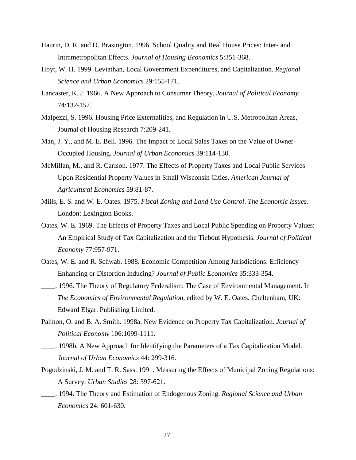- Haurin, D. R. and D. Brasington. 1996. School Quality and Real House Prices: Inter- and Intrametropolitan Effects. *Journal of Housing Economics* 5:351-368.
- Hoyt, W. H. 1999. Leviathan, Local Government Expenditures, and Capitalization. *Regional Science and Urban Economics* 29:155-171.
- Lancaster, K. J. 1966. A New Approach to Consumer Theory. *Journal of Political Economy*  74:132-157.
- Malpezzi, S. 1996. Housing Price Externalities, and Regulation in U.S. Metropolitan Areas, Journal of Housing Research 7:209-241.
- Man, J. Y., and M. E. Bell. 1996. The Impact of Local Sales Taxes on the Value of Owner-Occupied Housing. *Journal of Urban Economics* 39:114-130.
- McMillan, M., and R. Carlson. 1977. The Effects of Property Taxes and Local Public Services Upon Residential Property Values in Small Wisconsin Cities. *American Journal of Agricultural Economics* 59:81-87.
- Mills, E. S. and W. E. Oates. 1975. *Fiscal Zoning and Land Use Control*. *The Economic Issues.*  London: Lexington Books.
- Oates, W. E. 1969. The Effects of Property Taxes and Local Public Spending on Property Values: An Empirical Study of Tax Capitalization and the Tiebout Hypothesis. *Journal of Political Economy* 77:957-971.
- Oates, W. E. and R. Schwab. 1988. Economic Competition Among Jurisdictions: Efficiency Enhancing or Distortion Inducing? *Journal of Public Economics* 35:333-354.
- \_\_\_\_. 1996. The Theory of Regulatory Federalism: The Case of Environmental Management. In *The Economics of Environmental Regulation,* edited by W. E. Oates. Cheltenham, UK: Edward Elgar. Publishing Limited.
- Palmon, O. and B. A. Smith. 1998a. New Evidence on Property Tax Capitalization. *Journal of Political Economy* 106:1099-1111.
- \_\_\_\_. 1998b. A New Approach for Identifying the Parameters of a Tax Capitalization Model. *Journal of Urban Economics* 44: 299-316.
- Pogodzinski, J. M. and T. R. Sass. 1991. Measuring the Effects of Municipal Zoning Regulations: A Survey. *Urban Studies* 28: 597-621.
- \_\_\_\_. 1994. The Theory and Estimation of Endogenous Zoning. *Regional Science and Urban Economics* 24: 601-630.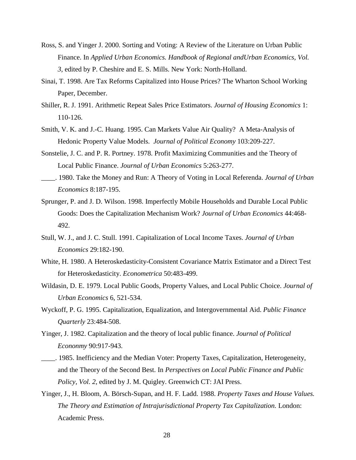- Ross, S. and Yinger J. 2000. Sorting and Voting: A Review of the Literature on Urban Public Finance. In *Applied Urban Economics. Handbook of Regional andUrban Economics, Vol. 3,* edited by P. Cheshire and E. S. Mills. New York: North-Holland.
- Sinai, T. 1998. Are Tax Reforms Capitalized into House Prices? The Wharton School Working Paper, December.
- Shiller, R. J. 1991. Arithmetic Repeat Sales Price Estimators. *Journal of Housing Economics* 1: 110-126.
- Smith, V. K. and J.-C. Huang. 1995. Can Markets Value Air Quality? A Meta-Analysis of Hedonic Property Value Models. *Journal of Political Economy* 103:209-227.
- Sonstelie, J. C. and P. R. Portney. 1978. Profit Maximizing Communities and the Theory of Local Public Finance. *Journal of Urban Economics* 5:263-277.
- \_\_\_\_. 1980. Take the Money and Run: A Theory of Voting in Local Referenda. *Journal of Urban Economics* 8:187-195.
- Sprunger, P. and J. D. Wilson. 1998. Imperfectly Mobile Households and Durable Local Public Goods: Does the Capitalization Mechanism Work? *Journal of Urban Economics* 44:468- 492.
- Stull, W. J., and J. C. Stull. 1991. Capitalization of Local Income Taxes. *Journal of Urban Economics* 29:182-190.
- White, H. 1980. A Heteroskedasticity-Consistent Covariance Matrix Estimator and a Direct Test for Heteroskedasticity. *Econometrica* 50:483-499.
- Wildasin, D. E. 1979. Local Public Goods, Property Values, and Local Public Choice. *Journal of Urban Economics* 6, 521-534.
- Wyckoff, P. G. 1995. Capitalization, Equalization, and Intergovernmental Aid. *Public Finance Quarterly* 23:484-508.
- Yinger, J. 1982. Capitalization and the theory of local public finance. *Journal of Political Econonmy* 90:917-943.
- \_\_\_\_. 1985. Inefficiency and the Median Voter: Property Taxes, Capitalization, Heterogeneity, and the Theory of the Second Best. In *Perspectives on Local Public Finance and Public Policy, Vol. 2*, edited by J. M. Quigley. Greenwich CT: JAI Press.
- Yinger, J., H. Bloom, A. Börsch-Supan, and H. F. Ladd. 1988. *Property Taxes and House Values. The Theory and Estimation of Intrajurisdictional Property Tax Capitalization.* London: Academic Press.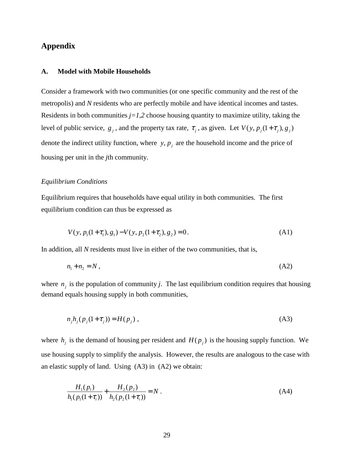### **Appendix**

#### **A. Model with Mobile Households**

Consider a framework with two communities (or one specific community and the rest of the metropolis) and *N* residents who are perfectly mobile and have identical incomes and tastes. Residents in both communities  $j=1,2$  choose housing quantity to maximize utility, taking the level of public service,  $g_j$ , and the property tax rate,  $\tau_j$ , as given. Let  $V(y, p_j(1 + \tau_j), g_j)$ denote the indirect utility function, where  $y$ ,  $p_i$  are the household income and the price of housing per unit in the *j*th community.

#### *Equilibrium Conditions*

Equilibrium requires that households have equal utility in both communities. The first equilibrium condition can thus be expressed as

$$
V(y, p_1(1+\tau_1), g_1) - V(y, p_2(1+\tau_2), g_2) = 0.
$$
\n(A1)

In addition, all *N* residents must live in either of the two communities, that is,

$$
n_1 + n_2 = N \tag{A2}
$$

where  $n_j$  is the population of community *j*. The last equilibrium condition requires that housing demand equals housing supply in both communities,

$$
n_j h_j(p_j(1+\tau_j)) = H(p_j) \t{,}
$$
 (A3)

where  $h_j$  is the demand of housing per resident and  $H(p_j)$  is the housing supply function. We use housing supply to simplify the analysis. However, the results are analogous to the case with an elastic supply of land. Using (A3) in (A2) we obtain:

$$
\frac{H_1(p_1)}{h_1(p_1(1+\tau_i))} + \frac{H_2(p_2)}{h_2(p_2(1+\tau_i))} = N.
$$
\n(A4)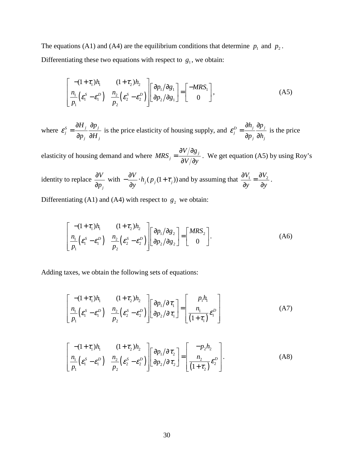The equations (A1) and (A4) are the equilibrium conditions that determine  $p_1$  and  $p_2$ . Differentiating these two equations with respect to  $g_1$ , we obtain:

$$
\begin{bmatrix}\n-(1+\tau_1)h_1 & (1+\tau_2)h_2 \\
\frac{n_1}{p_1}(\varepsilon_1^S - \varepsilon_1^D) & \frac{n_2}{p_2}(\varepsilon_2^S - \varepsilon_2^D)\n\end{bmatrix}\n\begin{bmatrix}\n\frac{\partial p_1}{\partial g_1} \\
\frac{\partial p_2}{\partial g_2}\n\end{bmatrix} =\n\begin{bmatrix}\n-MRS_1 \\
0\n\end{bmatrix},
$$
\n(A5)

where  $\varepsilon_j^s = \frac{\partial H_j}{\partial u} \frac{\partial p_j}{\partial u}$ *j j*  $H$ <sub>*i*</sub>  $\partial p$  $\mathcal{E}_{j}^{S}=\frac{1}{\partial p_{j}}\frac{1}{\partial H}$  $=\frac{\partial H_j}{\partial p_i} \frac{\partial p_j}{\partial H_i}$  is the price elasticity of housing supply, and  $\varepsilon_j^D = \frac{\partial h_j}{\partial p_i} \frac{\partial p_j}{\partial h_i}$ *j j*  $h_i$   $\partial p$  $\mathcal{E}_{j}^{E}=\frac{1}{\partial p_{j}}\frac{1}{\partial h}$  $=\frac{\partial h_j}{\partial p_i} \frac{\partial p_j}{\partial h_i}$  is the price

elasticity of housing demand and where  $MRS_j = \frac{\partial V / \partial g_j}{\partial V / \partial y_j}$  $=\frac{\partial V/\partial g_j}{\partial V/\partial y}$ . We get equation (A5) by using Roy's

identity to replace *j V p* ∂  $\frac{\partial V}{\partial p_i}$  with  $-\frac{\partial V}{\partial y} \cdot h_j(p_j(1+\tau_j))$  $-\frac{\partial V}{\partial y} \cdot h_j(p_j(1+\tau_j))$  and by assuming that  $\frac{\partial V_1}{\partial y} = \frac{\partial V_2}{\partial y}$ .

Differentiating (A1) and (A4) with respect to  $g_2$  we obtain:

$$
\begin{bmatrix}\n-(1+\tau_1)h_1 & (1+\tau_2)h_2 \\
\frac{n_1}{p_1}(\varepsilon_1^S - \varepsilon_1^D) & \frac{n_2}{p_2}(\varepsilon_2^S - \varepsilon_2^D)\n\end{bmatrix}\n\begin{bmatrix}\n\frac{\partial p_1}{\partial g_2} \\
\frac{\partial p_2}{\partial g_2}\n\end{bmatrix} =\n\begin{bmatrix}\nMRS_2 \\
0\n\end{bmatrix}.
$$
\n(A6)

Adding taxes, we obtain the following sets of equations:

$$
\begin{bmatrix}\n-(1+\tau_1)h_1 & (1+\tau_2)h_2 \\
\frac{n_1}{p_1}(\varepsilon_1^S - \varepsilon_1^D) & \frac{n_2}{p_2}(\varepsilon_2^S - \varepsilon_2^D)\n\end{bmatrix}\n\begin{bmatrix}\n\frac{\partial p_1}{\partial \tau_1} \\
\frac{\partial p_2}{\partial \tau_1}\n\end{bmatrix} = \n\begin{bmatrix}\np_1h_1 \\
\frac{n_1}{(1+\tau_1)}\varepsilon_1^D\n\end{bmatrix}
$$
\n(A7)

$$
\begin{bmatrix}\n-(1+\tau_1)h_1 & (1+\tau_2)h_2 \\
\frac{n_1}{p_1}(\varepsilon_1^S - \varepsilon_1^D) & \frac{n_2}{p_2}(\varepsilon_2^S - \varepsilon_2^D)\n\end{bmatrix}\n\begin{bmatrix}\n\frac{\partial p_1}{\partial \tau_2} \\
\frac{\partial p_2}{\partial \tau_2}\n\end{bmatrix} = \n\begin{bmatrix}\n-p_2h_2 \\
\frac{n_2}{(1+\tau_2)}\varepsilon_2^D\n\end{bmatrix}.
$$
\n(A8)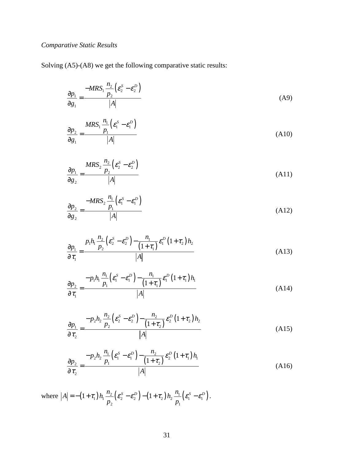### *Comparative Static Results*

Solving (A5)-(A8) we get the following comparative static results:

$$
\frac{\partial p_1}{\partial g_1} = \frac{-MRS_1 \frac{n_2}{p_2} \left(\mathcal{E}_2^S - \mathcal{E}_2^D\right)}{|A|} \tag{A9}
$$

$$
\frac{\partial p_2}{\partial g_1} = \frac{MRS_1 \frac{n_1}{p_1} \left(\mathcal{E}_1^S - \mathcal{E}_1^D\right)}{|A|} \tag{A10}
$$

$$
\frac{\partial p_1}{\partial g_2} = \frac{MRS_2 \frac{n_2}{p_2} \left(\varepsilon_2^S - \varepsilon_2^D\right)}{|A|} \tag{A11}
$$

$$
\frac{\partial p_2}{\partial g_2} = \frac{-MRS_2 \frac{n_1}{p_1} \left(\varepsilon_1^S - \varepsilon_1^D\right)}{|A|} \tag{A12}
$$

$$
\frac{\partial p_1}{\partial \tau_1} = \frac{p_1 h_1 \frac{n_2}{p_2} \left(\mathcal{E}_2^S - \mathcal{E}_2^D\right) - \frac{n_1}{\left(1 + \tau_1\right)} \mathcal{E}_1^D \left(1 + \tau_2\right) h_2}{|A|} \tag{A13}
$$

$$
\frac{\partial p_2}{\partial \tau_1} = \frac{-p_1 h_1 \frac{n_1}{p_1} \left(\varepsilon_1^S - \varepsilon_1^D\right) - \frac{n_1}{(1 + \tau_1)} \varepsilon_1^D (1 + \tau_1) h_1}{|A|} \tag{A14}
$$

$$
\frac{\partial p_1}{\partial \tau_2} = \frac{-p_2 h_2 \frac{n_2}{p_2} \left(\mathcal{E}_2^S - \mathcal{E}_2^D\right) - \frac{n_2}{\left(1 + \tau_2\right)} \mathcal{E}_2^D \left(1 + \tau_2\right) h_2}{|A|} \tag{A15}
$$

$$
\frac{\partial p_2}{\partial \tau_2} = \frac{-p_2 h_2 \frac{n_1}{p_1} \left(\mathcal{E}_1^S - \mathcal{E}_1^D\right) - \frac{n_2}{\left(1 + \tau_2\right)} \mathcal{E}_2^D \left(1 + \tau_1\right) h_1}{|A|} \tag{A16}
$$

where  $|A| = -(1+\tau_1)h_1 \frac{h_2}{2} (\varepsilon_2^S - \varepsilon_2^D) - (1+\tau_2)h_2 \frac{h_1}{2} (\varepsilon_1^S - \varepsilon_1^D)$ 2  $P_1$  $A = -(1+\tau_1)h_1\frac{n_2}{2}(\varepsilon_2^S - \varepsilon_2^D) - (1+\tau_2)h_2\frac{n_1}{2}(\varepsilon_1^S - \varepsilon_1^D)$  $p_2$ <sup>(-2</sup>) <sup>c</sup>  $p_2$  $=-(1+\tau_1)h_1\frac{n_2}{2}(\varepsilon_2^S-\varepsilon_2^D)-(1+\tau_2)h_2\frac{n_1}{2}(\varepsilon_1^S-\varepsilon_1^D).$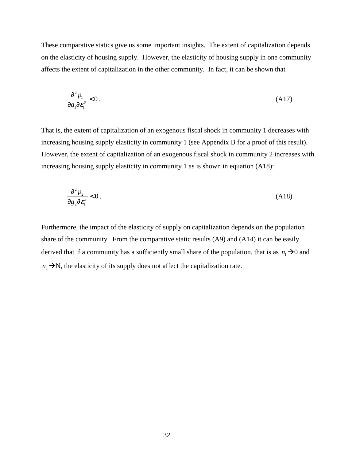These comparative statics give us some important insights. The extent of capitalization depends on the elasticity of housing supply. However, the elasticity of housing supply in one community affects the extent of capitalization in the other community. In fact, it can be shown that

$$
\frac{\partial^2 p_1}{\partial g_1 \partial \varepsilon_1^s} < 0. \tag{A17}
$$

That is, the extent of capitalization of an exogenous fiscal shock in community 1 decreases with increasing housing supply elasticity in community 1 (see Appendix B for a proof of this result). However, the extent of capitalization of an exogenous fiscal shock in community 2 increases with increasing housing supply elasticity in community 1 as is shown in equation (A18):

$$
\frac{\partial^2 p_2}{\partial g_2 \partial \varepsilon_1^s} < 0 \,. \tag{A18}
$$

Furthermore, the impact of the elasticity of supply on capitalization depends on the population share of the community. From the comparative static results (A9) and (A14) it can be easily derived that if a community has a sufficiently small share of the population, that is as  $n_1\rightarrow 0$  and  $n_2 \rightarrow N$ , the elasticity of its supply does not affect the capitalization rate.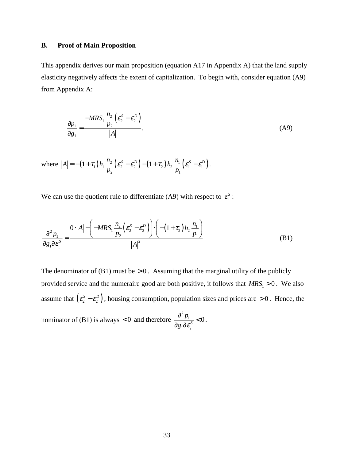#### **B. Proof of Main Proposition**

This appendix derives our main proposition (equation A17 in Appendix A) that the land supply elasticity negatively affects the extent of capitalization. To begin with, consider equation (A9) from Appendix A:

$$
\frac{\partial p_1}{\partial g_1} = \frac{-MRS_1 \frac{n_2}{p_2} \left(\varepsilon_2^S - \varepsilon_2^D\right)}{|A|},
$$
\n(A9)

where  $|A| = -(1+\tau_1)h_1 \frac{n_2}{n_1} (\varepsilon_2^S - \varepsilon_2^D) - (1+\tau_2)h_2 \frac{n_1}{n_1} (\varepsilon_1^S - \varepsilon_1^D)$ 2  $P_1$  $A = -(1+\tau_1)h_1\frac{n_2}{2}(\varepsilon_2^S - \varepsilon_2^D) - (1+\tau_2)h_2\frac{n_1}{2}(\varepsilon_1^S - \varepsilon_1^D)$  $p_2$ <sup>(-2</sup>)<sup>(-2)</sup> p  $=-(1+\tau_1)h_1\frac{n_2}{2}(\varepsilon_2^S-\varepsilon_2^D)-(1+\tau_2)h_2\frac{n_1}{2}(\varepsilon_1^S-\varepsilon_1^D).$ 

We can use the quotient rule to differentiate (A9) with respect to  $\varepsilon_1^s$ :

$$
\frac{\partial^2 p_1}{\partial g_1 \partial \varepsilon_1^S} = \frac{0 \cdot |A| - \left( -MRS_1 \frac{n_2}{p_2} \left( \varepsilon_2^S - \varepsilon_2^D \right) \right) \cdot \left( - (1 + \tau_2) h_2 \frac{n_1}{p_1} \right)}{|A|^2}
$$
(B1)

The denominator of  $(B1)$  must be  $> 0$ . Assuming that the marginal utility of the publicly provided service and the numeraire good are both positive, it follows that  $MRS_1 > 0$ . We also assume that  $(\varepsilon_2^s - \varepsilon_2^p)$ , housing consumption, population sizes and prices are > 0. Hence, the nominator of  $(B1)$  is always  $< 0$  and therefore 2 1 1  $\frac{p_1}{\sqrt{s}}$  < 0  $g_1\partial \varepsilon$  $\frac{\partial^2 p_1}{\partial g_1 \partial \varepsilon^s} < 0.$ 

1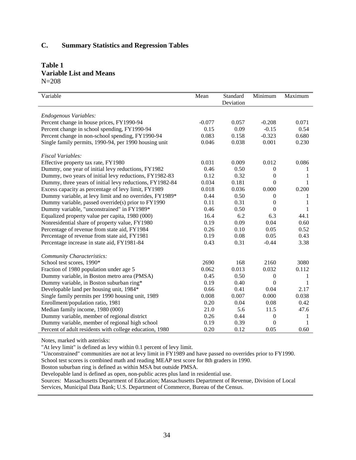### **C. Summary Statistics and Regression Tables**

#### **Table 1 Variable List and Means**   $N=208$

| Variable                                                 | Mean     | Standard<br>Deviation | Minimum          | Maximum |
|----------------------------------------------------------|----------|-----------------------|------------------|---------|
|                                                          |          |                       |                  |         |
| Endogenous Variables:                                    |          |                       |                  |         |
| Percent change in house prices, FY1990-94                | $-0.077$ | 0.057                 | $-0.208$         | 0.071   |
| Percent change in school spending, FY1990-94             | 0.15     | 0.09                  | $-0.15$          | 0.54    |
| Percent change in non-school spending, FY1990-94         | 0.083    | 0.158                 | $-0.323$         | 0.680   |
| Single family permits, 1990-94, per 1990 housing unit    | 0.046    | 0.038                 | 0.001            | 0.230   |
| <b>Fiscal Variables:</b>                                 |          |                       |                  |         |
| Effective property tax rate, FY1980                      | 0.031    | 0.009                 | 0.012            | 0.086   |
| Dummy, one year of initial levy reductions, FY1982       | 0.46     | 0.50                  | 0                | 1       |
| Dummy, two years of initial levy reductions, FY1982-83   | 0.12     | 0.32                  | 0                |         |
| Dummy, three years of initial levy reductions, FY1982-84 | 0.034    | 0.181                 | $\overline{0}$   | 1       |
| Excess capacity as percentage of levy limit, FY1989      | 0.018    | 0.036                 | 0.000            | 0.200   |
| Dummy variable, at levy limit and no overrides, FY1989*  | 0.44     | 0.50                  | $\overline{0}$   | 1       |
| Dummy variable, passed override(s) prior to FY1990       | 0.11     | 0.31                  | $\boldsymbol{0}$ | 1       |
| Dummy variable, "unconstrained" in FY1989*               | 0.46     | 0.50                  | $\overline{0}$   | 1       |
| Equalized property value per capita, 1980 (000)          | 16.4     | 6.2                   | 6.3              | 44.1    |
| Nonresidential share of property value, FY1980           | 0.19     | 0.09                  | 0.04             | 0.60    |
| Percentage of revenue from state aid, FY1984             | 0.26     | 0.10                  | 0.05             | 0.52    |
| Percentage of revenue from state aid, FY1981             | 0.19     | 0.08                  | 0.05             | 0.43    |
| Percentage increase in state aid, FY1981-84              | 0.43     | 0.31                  | $-0.44$          | 3.38    |
| <b>Community Characteristics:</b>                        |          |                       |                  |         |
| School test scores, 1990*                                | 2690     | 168                   | 2160             | 3080    |
| Fraction of 1980 population under age 5                  | 0.062    | 0.013                 | 0.032            | 0.112   |
| Dummy variable, in Boston metro area (PMSA)              | 0.45     | 0.50                  | $\boldsymbol{0}$ | 1       |
| Dummy variable, in Boston suburban ring*                 | 0.19     | 0.40                  | $\boldsymbol{0}$ | 1       |
| Developable land per housing unit, 1984*                 | 0.66     | 0.41                  | 0.04             | 2.17    |
| Single family permits per 1990 housing unit, 1989        | 0.008    | 0.007                 | 0.000            | 0.038   |
| Enrollment/population ratio, 1981                        | 0.20     | 0.04                  | 0.08             | 0.42    |
| Median family income, 1980 (000)                         | 21.0     | 5.6                   | 11.5             | 47.6    |
| Dummy variable, member of regional district              | 0.26     | 0.44                  | 0                | 1       |
| Dummy variable, member of regional high school           | 0.19     | 0.39                  | 0                | 1       |
| Percent of adult residents with college education, 1980  | 0.20     | 0.12                  | 0.05             | 0.60    |

Notes, marked with asterisks:

"At levy limit" is defined as levy within 0.1 percent of levy limit.

"Unconstrained" communities are not at levy limit in FY1989 and have passed no overrides prior to FY1990.

School test scores is combined math and reading MEAP test score for 8th graders in 1990.

Boston suburban ring is defined as within MSA but outside PMSA.

Developable land is defined as open, non-public acres plus land in residential use.

Sources: Massachusetts Department of Education; Massachusetts Department of Revenue, Division of Local

Services, Municipal Data Bank; U.S. Department of Commerce, Bureau of the Census.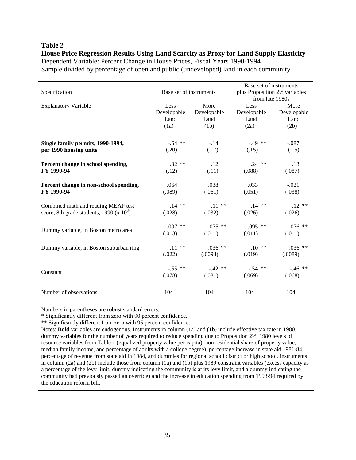#### **Table 2**

**House Price Regression Results Using Land Scarcity as Proxy for Land Supply Elasticity**  Dependent Variable: Percent Change in House Prices, Fiscal Years 1990-1994 Sample divided by percentage of open and public (undeveloped) land in each community

| Specification                               | Base set of instruments |             | Base set of instruments<br>plus Proposition 2½ variables<br>from late 1980s |             |
|---------------------------------------------|-------------------------|-------------|-----------------------------------------------------------------------------|-------------|
| <b>Explanatory Variable</b>                 | Less                    | More        | Less                                                                        | More        |
|                                             | Developable             | Developable | Developable                                                                 | Developable |
|                                             | Land                    | Land        | Land                                                                        | Land        |
|                                             | (1a)                    | (1b)        | (2a)                                                                        | (2b)        |
|                                             |                         |             |                                                                             |             |
| Single family permits, 1990-1994,           | $-.64$ **               | $-.14$      | $-.49**$                                                                    | $-.087$     |
| per 1990 housing units                      | (.20)                   | (.17)       | (.15)                                                                       | (.15)       |
| Percent change in school spending,          | $.32**$                 | .12         | $.24$ **                                                                    | .13         |
| FY 1990-94                                  | (.12)                   | (.11)       | (.088)                                                                      | (.087)      |
| Percent change in non-school spending,      | .064                    | .038        | .033                                                                        | $-.021$     |
| FY 1990-94                                  | (.089)                  | (.061)      | (.051)                                                                      | (.038)      |
| Combined math and reading MEAP test         | $.14$ **                | $.11***$    | $.14$ **                                                                    | $.12**$     |
| score, 8th grade students, 1990 (x $10^3$ ) | (.028)                  | (.032)      | (.026)                                                                      | (.026)      |
|                                             | $.097$ **               | $.075$ **   | $.095$ **                                                                   | $.076$ **   |
| Dummy variable, in Boston metro area        | (.013)                  | (.011)      | (.011)                                                                      | (.011)      |
| Dummy variable, in Boston suburban ring     | $.11***$                | $.036$ **   | $.10**$                                                                     | $.036$ **   |
|                                             | (.022)                  | (.0094)     | (.019)                                                                      | (.0089)     |
|                                             | $-.55$ **               | $-.42**$    | $-.54$ **                                                                   | $-.46$ **   |
| Constant                                    | (.078)                  | (.081)      | (.069)                                                                      | (.068)      |
| Number of observations                      | 104                     | 104         | 104                                                                         | 104         |
|                                             |                         |             |                                                                             |             |

Numbers in parentheses are robust standard errors.

\* Significantly different from zero with 90 percent confidence.

\*\* Significantly different from zero with 95 percent confidence.

Notes: **Bold** variables are endogenous. Instruments in column (1a) and (1b) include effective tax rate in 1980, dummy variables for the number of years required to reduce spending due to Proposition 2½, 1980 levels of resource variables from Table 1 (equalized property value per capita), non residential share of property value, median family income, and percentage of adults with a college degree), percentage increase in state aid 1981-84, percentage of revenue from state aid in 1984, and dummies for regional school district or high school. Instruments in column (2a) and (2b) include those from column (1a) and (1b) plus 1989 constraint variables (excess capacity as a percentage of the levy limit, dummy indicating the community is at its levy limit, and a dummy indicating the community had previously passed an override) and the increase in education spending from 1993-94 required by the education reform bill.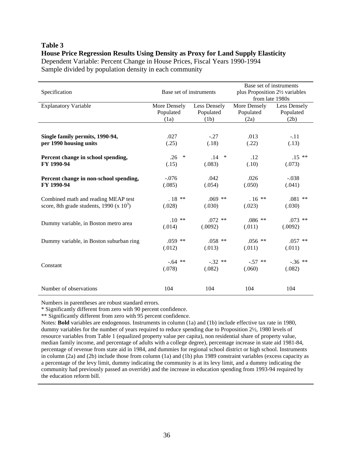#### **Table 3**

#### **House Price Regression Results Using Density as Proxy for Land Supply Elasticity**

Dependent Variable: Percent Change in House Prices, Fiscal Years 1990-1994 Sample divided by population density in each community

| Specification                              | Base set of instruments |              | Base set of instruments<br>plus Proposition 2½ variables<br>from late 1980s |              |
|--------------------------------------------|-------------------------|--------------|-----------------------------------------------------------------------------|--------------|
| <b>Explanatory Variable</b>                | More Densely            | Less Densely | More Densely                                                                | Less Densely |
|                                            | Populated               | Populated    | Populated                                                                   | Populated    |
|                                            | (1a)                    | (1b)         | (2a)                                                                        | (2b)         |
|                                            |                         |              |                                                                             |              |
| Single family permits, 1990-94,            | .027                    | $-.27$       | .013                                                                        | $-.11$       |
| per 1990 housing units                     | (.25)                   | (.18)        | (.22)                                                                       | (.13)        |
|                                            |                         |              |                                                                             |              |
| Percent change in school spending,         | $\ast$<br>.26           | .14<br>∗     | .12                                                                         | $.15**$      |
| FY 1990-94                                 | (.15)                   | (.083)       | (.10)                                                                       | (.073)       |
|                                            |                         |              |                                                                             |              |
| Percent change in non-school spending,     | $-.076$                 | .042         | .026                                                                        | $-.038$      |
| FY 1990-94                                 | (.085)                  | (.054)       | (.050)                                                                      | (.041)       |
|                                            |                         |              |                                                                             |              |
| Combined math and reading MEAP test        | $.18**$                 | $.069$ **    | $.16**$                                                                     | $.081$ **    |
| score, 8th grade students, 1990 (x $103$ ) | (.028)                  | (.030)       | (.023)                                                                      | (.030)       |
|                                            |                         |              |                                                                             |              |
| Dummy variable, in Boston metro area       | $.10**$                 | $.072$ **    | $.086**$                                                                    | $.073$ **    |
|                                            | (.014)                  | (.0092)      | (.011)                                                                      | (.0092)      |
|                                            |                         |              |                                                                             |              |
| Dummy variable, in Boston suburban ring    | $.059$ **               | $.058$ **    | $.056$ **                                                                   | $.057$ **    |
|                                            | (.012)                  | (.013)       | (.011)                                                                      | (.011)       |
|                                            |                         |              |                                                                             |              |
| Constant                                   | $-.64$ **               | $-.32**$     | $-.57$ **                                                                   | $-.36$ **    |
|                                            | (.078)                  | (.082)       | (.060)                                                                      | (.082)       |
|                                            |                         |              |                                                                             |              |
| Number of observations                     | 104                     | 104          | 104                                                                         | 104          |
|                                            |                         |              |                                                                             |              |

Numbers in parentheses are robust standard errors.

\* Significantly different from zero with 90 percent confidence.

\*\* Significantly different from zero with 95 percent confidence.

Notes: **Bold** variables are endogenous. Instruments in column (1a) and (1b) include effective tax rate in 1980, dummy variables for the number of years required to reduce spending due to Proposition 2½, 1980 levels of resource variables from Table 1 (equalized property value per capita), non residential share of property value, median family income, and percentage of adults with a college degree), percentage increase in state aid 1981-84, percentage of revenue from state aid in 1984, and dummies for regional school district or high school. Instruments in column (2a) and (2b) include those from column (1a) and (1b) plus 1989 constraint variables (excess capacity as a percentage of the levy limit, dummy indicating the community is at its levy limit, and a dummy indicating the community had previously passed an override) and the increase in education spending from 1993-94 required by the education reform bill.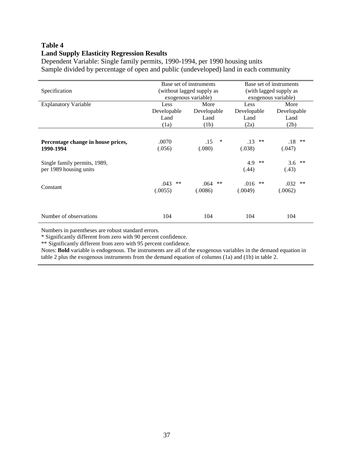### **Table 4 Land Supply Elasticity Regression Results**

Dependent Variable: Single family permits, 1990-1994, per 1990 housing units Sample divided by percentage of open and public (undeveloped) land in each community

| Specification                                          | Base set of instruments<br>(without lagged supply as<br>exogenous variable) |                                     | Base set of instruments<br>(with lagged supply as<br>exogenous variable) |                                     |
|--------------------------------------------------------|-----------------------------------------------------------------------------|-------------------------------------|--------------------------------------------------------------------------|-------------------------------------|
| <b>Explanatory Variable</b>                            | Less<br>Developable<br>Land<br>(1a)                                         | More<br>Developable<br>Land<br>(1b) | Less<br>Developable<br>Land<br>(2a)                                      | More<br>Developable<br>Land<br>(2b) |
| Percentage change in house prices,<br>1990-1994        | .0070<br>(.056)                                                             | ∗<br>.15<br>(.080)                  | .13<br>**<br>(.038)                                                      | .18<br>$***$<br>(.047)              |
| Single family permits, 1989,<br>per 1989 housing units |                                                                             |                                     | 4.9<br>**<br>(.44)                                                       | 3.6<br>**<br>(.43)                  |
| Constant                                               | .043<br>$***$<br>(.0055)                                                    | **<br>.064<br>(.0086)               | .016<br>$***$<br>(.0049)                                                 | $**$<br>.032<br>(.0062)             |
| Number of observations                                 | 104                                                                         | 104                                 | 104                                                                      | 104                                 |

Numbers in parentheses are robust standard errors.

\* Significantly different from zero with 90 percent confidence.

\*\* Significantly different from zero with 95 percent confidence.

Notes: **Bold** variable is endogenous. The instruments are all of the exogenous variables in the demand equation in table 2 plus the exogenous instruments from the demand equation of columns (1a) and (1b) in table 2.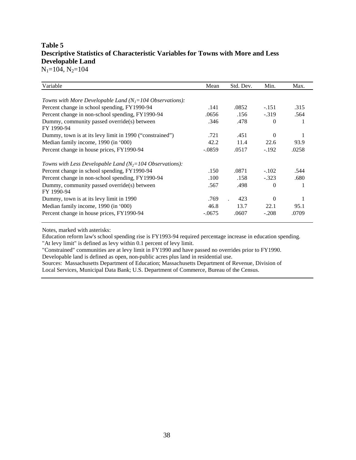## **Table 5 Descriptive Statistics of Characteristic Variables for Towns with More and Less Developable Land**

 $N_1=104$ ,  $N_2=104$ 

| Variable                                                   | Mean     | Std. Dev. | Min.     | Max.  |
|------------------------------------------------------------|----------|-----------|----------|-------|
|                                                            |          |           |          |       |
| Towns with More Developable Land $(N_I=104$ Observations): |          |           |          |       |
| Percent change in school spending, FY1990-94               | .141     | .0852     | $-.151$  | .315  |
| Percent change in non-school spending, FY1990-94           | .0656    | .156      | $-.319$  | .564  |
| Dummy, community passed override(s) between                | .346     | .478      | $\theta$ |       |
| FY 1990-94                                                 |          |           |          |       |
| Dummy, town is at its levy limit in 1990 ("constrained")   | .721     | .451      | $\theta$ |       |
| Median family income, 1990 (in '000)                       | 42.2     | 11.4      | 22.6     | 93.9  |
| Percent change in house prices, FY1990-94                  | $-.0859$ | .0517     | $-.192$  | .0258 |
| Towns with Less Developable Land $(N_2=104$ Observations): |          |           |          |       |
| Percent change in school spending, FY1990-94               | .150     | .0871     | $-.102$  | .544  |
| Percent change in non-school spending, FY1990-94           | .100     | .158      | $-.323$  | .680  |
| Dummy, community passed override(s) between                | .567     | .498      | 0        |       |
| FY 1990-94                                                 |          |           |          |       |
| Dummy, town is at its levy limit in 1990                   | .769     | 423       | $\Omega$ |       |
| Median family income, 1990 (in '000)                       | 46.8     | 13.7      | 22.1     | 95.1  |
| Percent change in house prices, FY1990-94                  | $-.0675$ | .0607     | $-.208$  | .0709 |

Notes, marked with asterisks:

Education reform law's school spending rise is FY1993-94 required percentage increase in education spending. "At levy limit" is defined as levy within 0.1 percent of levy limit.

"Constrained" communities are at levy limit in FY1990 and have passed no overrides prior to FY1990.

Developable land is defined as open, non-public acres plus land in residential use.

Sources: Massachusetts Department of Education; Massachusetts Department of Revenue, Division of Local Services, Municipal Data Bank; U.S. Department of Commerce, Bureau of the Census.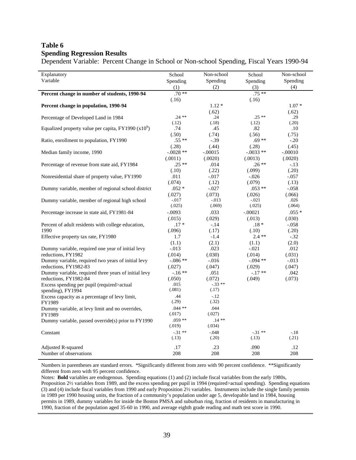## **Table 6 Spending Regression Results**

Dependent Variable: Percent Change in School or Non-school Spending, Fiscal Years 1990-94

| Explanatory                                                         | School            | Non-school        | School            | Non-school     |
|---------------------------------------------------------------------|-------------------|-------------------|-------------------|----------------|
| Variable                                                            | Spending          | Spending          | Spending          | Spending       |
|                                                                     | (1)               | (2)               | (3)               | (4)            |
| Percent change in number of students, 1990-94                       | $.70**$           |                   | $.75**$           |                |
|                                                                     | (.16)             |                   | (.16)             |                |
| Percent change in population, 1990-94                               |                   | $1.12*$           |                   | $1.07*$        |
|                                                                     |                   | (.62)             |                   | (.62)          |
| Percentage of Developed Land in 1984                                | $.24***$          | .24               | $.25**$           | .29            |
| Equalized property value per capita, FY1990 $(x10^9)$               | (.12)<br>.74      | (.18)<br>.45      | (.12)<br>.82      | (.20)<br>.10   |
|                                                                     | (.50)             | (.74)             | (.56)             | (.75)          |
| Ratio, enrollment to population, FY1990                             | $.55**$           | $-.39$            | $.69**$           | $-.20$         |
|                                                                     | (.28)             | (.44)             | (.28)             | (.45)          |
| Median family income, 1990                                          | $-.0028**$        | $-.00015$         | $-.0033**$        | $-.00010$      |
|                                                                     | (.0011)           | (.0020)           | (.0013)           | (.0020)        |
| Percentage of revenue from state aid, FY1984                        | $.25**$           | .014              | $.26**$           | $-.13$         |
|                                                                     | (.10)             | (.22)             | (.099)            | (.20)          |
| Nonresidential share of property value, FY1990                      | .011              | $-.017$           | $-.026$           | $-.057$        |
|                                                                     | (.074)            | (.12)             | (.079)            | (.13)          |
| Dummy variable, member of regional school district                  | $.052*$           | $-.027$           | $.053**$          | $-.058$        |
|                                                                     | (.027)            | (.073)            | (.026)<br>$-.021$ | (.066)         |
| Dummy variable, member of regional high school                      | $-.017$<br>(.025) | $-013$<br>(.069)  | (.025)            | .026<br>(.064) |
| Percentage increase in state aid, FY1981-84                         | $-.0093$          | .033              | $-.00021$         | $.055*$        |
|                                                                     | (.015)            | (.029)            | (.013)            | (.030)         |
| Percent of adult residents with college education,                  | $.17*$            | $-.14$            | $.18*$            | $-.058$        |
| 1990                                                                | (.096)            | (.17)             | (.10)             | (.20)          |
| Effective property tax rate, FY1980                                 | 1.7               | $-1.4$            | $2.4**$           | $-.32$         |
|                                                                     | (1.1)             | (2.1)             | (1.1)             | (2.0)          |
| Dummy variable, required one year of initial levy                   | $-.013$           | .023              | $-.021$           | .012           |
| reductions, FY1982                                                  | (.014)            | (.030)            | (.014)            | (.031)         |
| Dummy variable, required two years of initial levy                  | $-.086**$         | $-.016$           | $-.094**$         | $-.013$        |
| reductions, FY1982-83                                               | (.027)            | (.047)            | (.029)            | (.047)         |
| Dummy variable, required three years of initial levy                | $-16**$           | .051              | $-.17**$          | .042           |
| reductions, FY1982-84                                               | (.050)            | (.072)            | (.049)            | (.073)         |
| Excess spending per pupil (required>actual                          | .015<br>(.081)    | $-.33**$<br>(.17) |                   |                |
| spending), FY1994<br>Excess capacity as a percentage of levy limit, | .44               | $-.12$            |                   |                |
| FY1989                                                              | (.29)             | (.32)             |                   |                |
| Dummy variable, at levy limit and no overrides,                     | $.044**$          | .044              |                   |                |
| FY1989                                                              | (.017)            | (.027)            |                   |                |
| Dummy variable, passed override(s) prior to FY1990                  | $.059**$          | $.14**$           |                   |                |
|                                                                     | (.019)            | (.034)            |                   |                |
| Constant                                                            | $-.31**$          | $-.048$           | $-.31**$          | $-.18$         |
|                                                                     | (.13)             | (.20)             | (.13)             | (.21)          |
| Adjusted R-squared                                                  | .17               | .23               | .090              | .12            |
| Number of observations                                              | 208               | 208               | 208               | 208            |

Numbers in parentheses are standard errors. \*Significantly different from zero with 90 percent confidence. \*\*Significantly different from zero with 95 percent confidence.

Notes: **Bold** variables are endogenous. Spending equations (1) and (2) include fiscal variables from the early 1980s, Proposition 2½ variables from 1989, and the excess spending per pupil in 1994 (required>actual spending). Spending equations (3) and (4) include fiscal variables from 1990 and early Proposition 2½ variables. Instruments include the single family permits in 1989 per 1990 housing units, the fraction of a community's population under age 5, developable land in 1984, housing permits in 1989, dummy variables for inside the Boston PMSA and suburban ring, fraction of residents in manufacturing in 1990, fraction of the population aged 35-60 in 1990, and average eighth grade reading and math test score in 1990.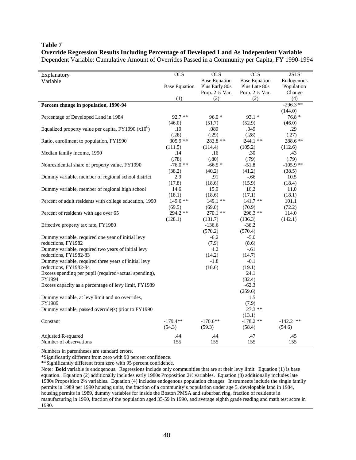#### **Table 7**

#### **Override Regression Results Including Percentage of Developed Land As Independent Variable**

Dependent Variable: Cumulative Amount of Overrides Passed in a Community per Capita, FY 1990-1994

| Explanatory                                             | <b>OLS</b>           | <b>OLS</b>           | <b>OLS</b>           | 2SLS        |
|---------------------------------------------------------|----------------------|----------------------|----------------------|-------------|
| Variable                                                |                      | <b>Base Equation</b> | <b>Base Equation</b> | Endogenous  |
|                                                         | <b>Base Equation</b> | Plus Early 80s       | Plus Late 80s        | Population  |
|                                                         |                      | Prop. 2 1/2 Var.     | Prop. 2 1/2 Var.     | Change      |
|                                                         | (1)                  | (2)                  | (2)                  | (4)         |
| Percent change in population, 1990-94                   |                      |                      |                      | $-296.3$ ** |
|                                                         |                      |                      |                      | (144.0)     |
| Percentage of Developed Land in 1984                    | $92.7**$             | $96.0*$              | $93.1*$              | $76.8*$     |
|                                                         | (46.0)               | (51.7)               | (52.9)               | (46.0)      |
| Equalized property value per capita, $FY1990(x10^6)$    | .10                  | .089                 | .049                 | .29         |
|                                                         | (.28)                | (.29)                | (.28)                | (.27)       |
| Ratio, enrollment to population, FY1990                 | $305.9$ **           | $283.8**$            | $244.1$ **           | 288.6 **    |
|                                                         | (111.5)              | (114.4)              | (105.2)              | (112.6)     |
| Median family income, 1990                              | .14                  | .16                  | .30                  | .43         |
|                                                         | (.78)                | (.80)                | (.79)                | (.79)       |
| Nonresidential share of property value, FY1990          | $-76.0**$            | $-66.5*$             | $-51.8$              | $-105.9$ ** |
|                                                         | (38.2)               | (40.2)               | (41.2)               | (38.5)      |
| Dummy variable, member of regional school district      | 2.9                  | .91                  | $-.66$               | 10.5        |
|                                                         | (17.8)               | (18.6)               | (15.9)               | (18.4)      |
| Dummy variable, member of regional high school          | 14.6                 | 15.9                 | 16.2                 | 11.0        |
|                                                         | (18.1)               | (18.6)               | (17.1)               | (18.1)      |
| Percent of adult residents with college education, 1990 | 149.6 **             | 149.1 **             | $141.7**$            | 101.1       |
|                                                         | (69.5)               | (69.0)               | (70.9)               | (72.2)      |
| Percent of residents with age over 65                   | 294.2 **             | $270.1$ **           | $296.3$ **           | 114.0       |
|                                                         | (128.1)              | (131.7)              | (136.3)              | (142.1)     |
| Effective property tax rate, FY1980                     |                      | $-136.6$             | $-36.2$              |             |
|                                                         |                      | (570.2)              | (570.4)              |             |
| Dummy variable, required one year of initial levy       |                      | $-6.2$               | $-5.0$               |             |
| reductions, FY1982                                      |                      | (7.9)                | (8.6)                |             |
| Dummy variable, required two years of initial levy      |                      | 4.2                  | $-.61$               |             |
| reductions, FY1982-83                                   |                      | (14.2)               | (14.7)               |             |
| Dummy variable, required three years of initial levy    |                      | $-1.8$               | $-6.1$               |             |
| reductions, FY1982-84                                   |                      | (18.6)               | (19.1)               |             |
| Excess spending per pupil (required>actual spending),   |                      |                      | 24.1                 |             |
| FY1994                                                  |                      |                      | (32.4)               |             |
| Excess capacity as a percentage of levy limit, FY1989   |                      |                      | $-62.3$              |             |
|                                                         |                      |                      | (259.6)              |             |
| Dummy variable, at levy limit and no overrides,         |                      |                      | 1.5                  |             |
| FY1989                                                  |                      |                      | (7.9)                |             |
| Dummy variable, passed override(s) prior to FY1990      |                      |                      | $27.3**$             |             |
|                                                         |                      |                      | (13.1)               |             |
| Constant                                                | $-179.4**$           | $-170.6**$           | $-178.2**$           | $-142.2$ ** |
|                                                         | (54.3)               | (59.3)               | (58.4)               | (54.6)      |
| Adjusted R-squared                                      | .44                  | .44                  | .47                  | .45         |
| Number of observations                                  | 155                  | 155                  | 155                  | 155         |
|                                                         |                      |                      |                      |             |

Numbers in parentheses are standard errors.

\*Significantly different from zero with 90 percent confidence.

\*\*Significantly different from zero with 95 percent confidence.

Note: **Bold** variable is endogenous. Regressions include only communities that are at their levy limit. Equation (1) is base equation. Equation (2) additionally includes early 1980s Proposition 2½ variables. Equation (3) additionally includes late 1980s Proposition 2½ variables. Equation (4) includes endogenous population changes. Instruments include the single family permits in 1989 per 1990 housing units, the fraction of a community's population under age 5, developable land in 1984, housing permits in 1989, dummy variables for inside the Boston PMSA and suburban ring, fraction of residents in manufacturing in 1990, fraction of the population aged 35-59 in 1990, and average eighth grade reading and math test score in 1990.